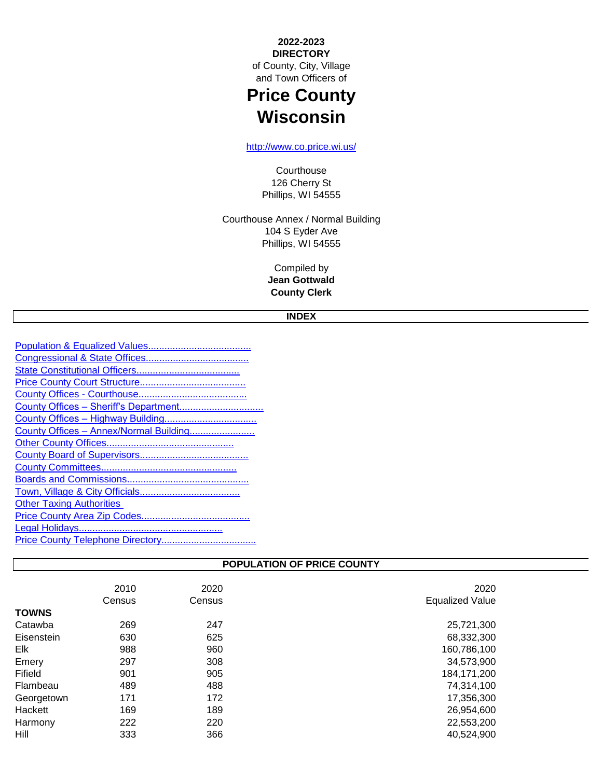**2022-2023 DIRECTORY** of County, City, Village and Town Officers of

# **Price County Wisconsin**

[h](http://www.co.price.wi.us/)ttp://www.co.price.wi.us/

**Courthouse** 126 Cherry St Phillips, WI 54555

Phillips, WI 54555 Courthouse Annex / Normal Building 104 S Eyder Ave

> **Jean Gottwald County Clerk** Compiled by

## **INDEX**

| County Offices - Annex/Normal Building |
|----------------------------------------|
|                                        |
|                                        |
|                                        |
|                                        |
|                                        |
| <b>Other Taxing Authorities</b>        |
|                                        |
|                                        |
|                                        |
|                                        |

## **POPULATION OF PRICE COUNTY**

|              | 2010   | 2020   | 2020                   |
|--------------|--------|--------|------------------------|
|              | Census | Census | <b>Equalized Value</b> |
| <b>TOWNS</b> |        |        |                        |
| Catawba      | 269    | 247    | 25,721,300             |
| Eisenstein   | 630    | 625    | 68,332,300             |
| Elk          | 988    | 960    | 160,786,100            |
| Emery        | 297    | 308    | 34,573,900             |
| Fifield      | 901    | 905    | 184, 171, 200          |
| Flambeau     | 489    | 488    | 74,314,100             |
| Georgetown   | 171    | 172    | 17,356,300             |
| Hackett      | 169    | 189    | 26,954,600             |
| Harmony      | 222    | 220    | 22,553,200             |
| Hill         | 333    | 366    | 40,524,900             |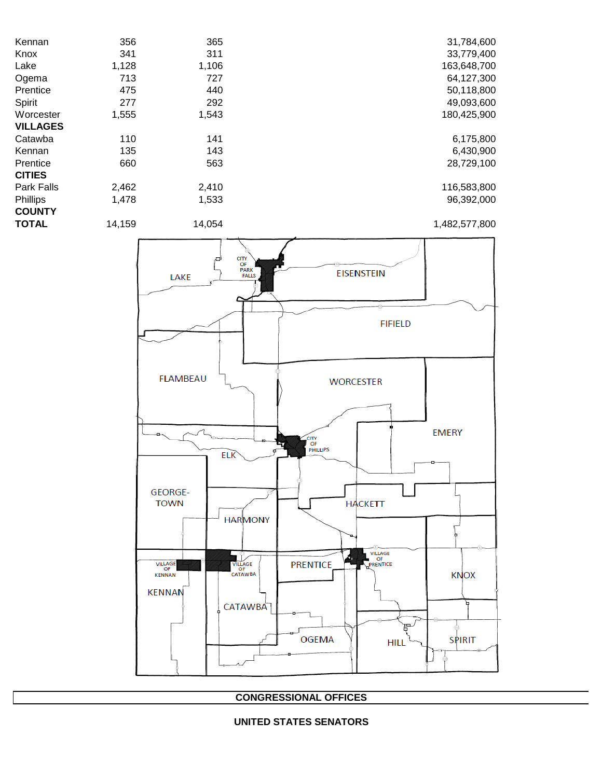| Kennan          | 356   | 365   | 31,784,600  |
|-----------------|-------|-------|-------------|
| Knox            | 341   | 311   | 33,779,400  |
| Lake            | 1,128 | 1,106 | 163,648,700 |
| Ogema           | 713   | 727   | 64,127,300  |
| Prentice        | 475   | 440   | 50,118,800  |
| Spirit          | 277   | 292   | 49,093,600  |
| Worcester       | 1,555 | 1,543 | 180,425,900 |
| <b>VILLAGES</b> |       |       |             |
| Catawba         | 110   | 141   | 6,175,800   |
| Kennan          | 135   | 143   | 6,430,900   |
| Prentice        | 660   | 563   | 28,729,100  |
| <b>CITIES</b>   |       |       |             |
| Park Falls      | 2,462 | 2,410 | 116,583,800 |
| Phillips        | 1,478 | 1,533 | 96,392,000  |
| <b>COUNTY</b>   |       |       |             |

**TOTAL** 14,159 14,054 14,054 1,482,577,800



**CONGRESSIONAL OFFICES**

#### **UNITED STATES SENATORS**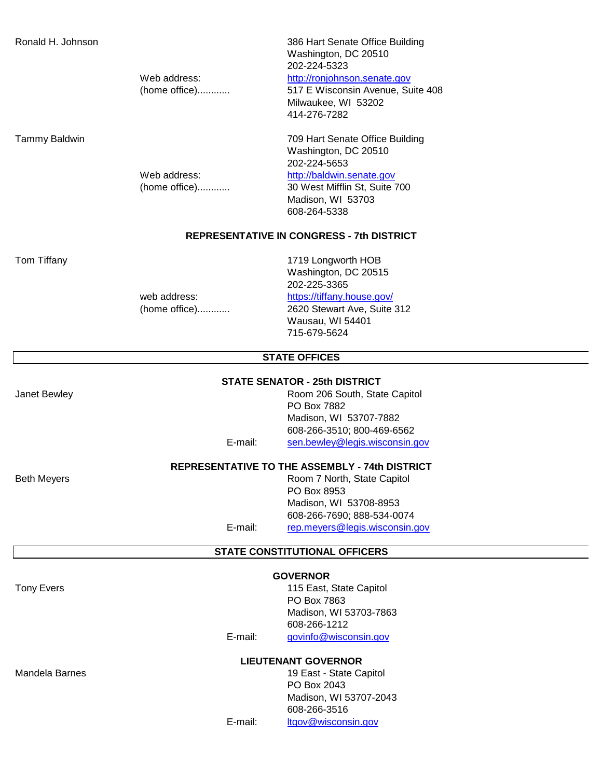Ronald H. Johnson 386 Hart Senate Office Building Washington, DC 20510 202-224-5323

#### Web address: [http://ronjohnson.senate.gov](http://ronjohnson.senate.gov/)

(home office)............ 517 E Wisconsin Avenue, Suite 408 Milwaukee, WI 53202 414-276-7282

Tammy Baldwin 709 Hart Senate Office Building Washington, DC 20510 202-224-5653

## Web address: [http://baldwin.senate.gov](http://baldwin.senate.gov/)

(home office)............ 30 West Mifflin St, Suite 700 Madison, WI 53703 608-264-5338

#### **REPRESENTATIVE IN CONGRESS - 7th DISTRICT**

Tom Tiffany 1719 Longworth HOB Washington, DC 20515 202-225-3365 web address: https://tiffany.house.gov/ (home office)............ 2620 Stewart Ave, Suite 312 Wausau, WI 54401 715-679-5624

#### **STATE OFFICES**

#### **STATE SENATOR - 25th DISTRICT**

Janet Bewley **Community** Community Room 206 South, State Capitol PO Box 7882 Madison, WI 53707-7882 608-266-3510; 800-469-6562 E-mail: [sen.bewley@legis.wisconsin.gov](mailto:sen.bewley@legis.wisconsin.gov)

#### **REPRESENTATIVE TO THE ASSEMBLY - 74th DISTRICT**

Beth Meyers **Room 7 North, State Capitol** PO Box 8953 Madison, WI 53708-8953 608-266-7690; 888-534-0074 E-mail: [rep.meyers@legis.wisconsin.gov](mailto:rep.meyers@legis.wisconsin.gov)

#### **STATE CONSTITUTIONAL OFFICERS**

#### **GOVERNOR**

Tony Evers **115 East, State Capitol** PO Box 7863 Madison, WI 53703-7863 608-266-1212 E-mail: [govinfo@wisconsin.gov](mailto:govinfo@wisconsin.gov)

**LIEUTENANT GOVERNOR**

Mandela Barnes **19 East - State Capitol** PO Box 2043 Madison, WI 53707-2043 608-266-3516 E-mail: [ltgov@wisconsin.gov](mailto:ltgov@wisconsin.gov)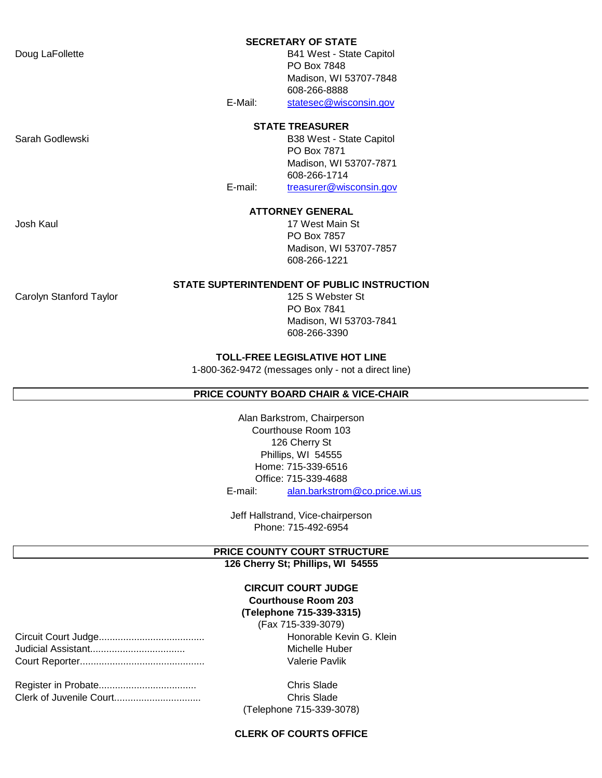#### **SECRETARY OF STATE**

Doug LaFollette **B41 West - State Capitol** PO Box 7848 Madison, WI 53707-7848 608-266-8888 E-Mail: [statesec@wisconsin.gov](mailto:statesec@wisconsin.gov)

#### **STATE TREASURER**

Sarah Godlewski **B38 West - State Capitol** B38 West - State Capitol PO Box 7871 Madison, WI 53707-7871 608-266-1714 E-mail: [treasurer@wisconsin.gov](mailto:treasurer@wisconsin.gov)

#### **ATTORNEY GENERAL**

Josh Kaul 17 West Main St PO Box 7857 Madison, WI 53707-7857 608-266-1221

#### **STATE SUPTERINTENDENT OF PUBLIC INSTRUCTION**

Carolyn Stanford Taylor 125 S Webster St

PO Box 7841 Madison, WI 53703-7841 608-266-3390

#### **TOLL-FREE LEGISLATIVE HOT LINE**

1-800-362-9472 (messages only - not a direct line)

#### **PRICE COUNTY BOARD CHAIR & VICE-CHAIR**

E-mail: [alan.barkstrom@co.price.wi.us](mailto:alan.barkstrom@co.price.wi.us) Home: 715-339-6516 126 Cherry St Alan Barkstrom, Chairperson Office: 715-339-4688 Courthouse Room 103 Phillips, WI 54555

Jeff Hallstrand, Vice-chairperson Phone: 715-492-6954

#### **PRICE COUNTY COURT STRUCTURE 126 Cherry St; Phillips, WI 54555**

#### **(Telephone 715-339-3315) CIRCUIT COURT JUDGE Courthouse Room 203**

Circuit Court Judge....................................... Honorable Kevin G. Klein Michelle Huber Valerie Pavlik (Fax 715-339-3079)

| Clerk of Juvenile Court |
|-------------------------|

Chris Slade. Chris Slade (Telephone 715-339-3078)

#### **CLERK OF COURTS OFFICE**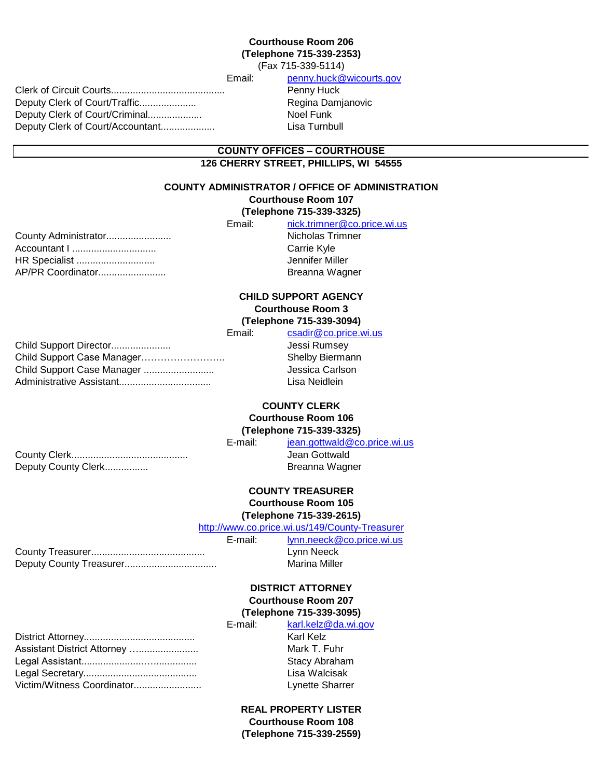#### (Fax 715-339-5114) **Courthouse Room 206 (Telephone 715-339-2353)**

Clerk of Circuit Courts.......................................... Penny Huck Deputy Clerk of Court/Traffic..................... Regina Damjanovic Deputy Clerk of Court/Criminal.................... Noel Funk Deputy Clerk of Court/Accountant.................... Lisa Turnbull

Email: [penny.huck@wicourts.gov](mailto:penny.huck@wicourts.gov)

#### **COUNTY OFFICES – COURTHOUSE 126 CHERRY STREET, PHILLIPS, WI 54555**

#### **COUNTY ADMINISTRATOR / OFFICE OF ADMINISTRATION**

### **Courthouse Room 107**

### **(Telephone 715-339-3325)**

|                       | Email: | nick.trimner@co.price.wi.us |
|-----------------------|--------|-----------------------------|
| County Administrator  |        | Nicholas Trimner            |
|                       |        | Carrie Kyle                 |
| <b>HR Specialist </b> |        | Jennifer Miller             |
| AP/PR Coordinator     |        | Breanna Wagner              |
|                       |        |                             |

#### **Courthouse Room 3 (Telephone 715-339-3094) CHILD SUPPORT AGENCY**

|                            | Email: | csadir@co.price.wi.us  |
|----------------------------|--------|------------------------|
| Child Support Director     |        | Jessi Rumsey           |
| Child Support Case Manager |        | <b>Shelby Biermann</b> |
| Child Support Case Manager |        | Jessica Carlson        |
|                            |        | Lisa Neidlein          |
|                            |        |                        |

## **COUNTY CLERK Courthouse Room 106**

## **(Telephone 715-339-3325)**

County Clerk........................................... Jean Gottwald Deputy County Clerk................

E-mail: [jean.gottwald@co.price.wi.us](mailto:jean.gottwald@co.price.wi.us) Breanna Wagner

# **COUNTY TREASURER**

## **Courthouse Room 105 (Telephone 715-339-2615)**

[h](http://www.co.price.wi.us/149/County-Treasurer)ttp://www.co.price.wi.us/149/County-Treasurer

| E-mail: | lynn.neeck@co.price.wi.us |
|---------|---------------------------|
|         | Lynn Neeck                |
|         | Marina Miller             |

#### **(Telephone 715-339-3095) Courthouse Room 207 DISTRICT ATTORNEY**

|                             | E-mail: | karl.kelz@da.wi.gov    |
|-----------------------------|---------|------------------------|
|                             |         | Karl Kelz              |
| Assistant District Attorney |         | Mark T. Fuhr           |
|                             |         | Stacy Abraham          |
|                             |         | Lisa Walcisak          |
| Victim/Witness Coordinator  |         | <b>Lynette Sharrer</b> |
|                             |         |                        |

## **REAL PROPERTY LISTER Courthouse Room 108**

**(Telephone 715-339-2559)**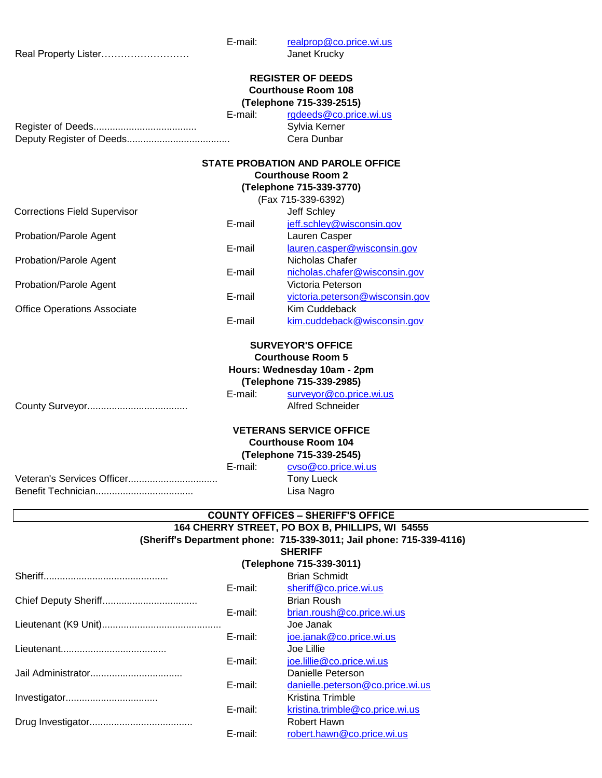E-mail: [realprop@co.price.wi.us](mailto:realprop@co.price.wi.us) Real Property Lister……………………… Janet Krucky E-mail: [rgdeeds@co.price.wi.us](mailto:rgdeeds@co.price.wi.us) Register of Deeds...................................... Sylvia Kerner Deputy Register of Deeds...................................... Cera Dunbar Jeff Schley E-mail [jeff.schley@wisconsin.gov](mailto:jeff.schley@wisconsin.gov) Probation/Parole Agent Lauren Casper E-mail [lauren.casper@wisconsin.gov](mailto:lauren.casper@wisconsin.gov) Probation/Parole Agent Nicholas Chafer E-mail [nicholas.chafer@wisconsin.gov](mailto:nicholas.chafer@wisconsin.gov) Probation/Parole Agent Victoria Peterson E-mail [victoria.peterson@wisconsin.gov](mailto:victoria.peterson@wisconsin.gov) Office Operations Associate **Kim Cuddeback Kim Cuddeback** E-mail [kim.cuddeback@wisconsin.gov](mailto:kim.cuddeback@wisconsin.gov) E-mail: [surveyor@co.price.wi.us](mailto:surveyor@co.price.wi.us) County Surveyor..................................... Alfred Schneider E-mail: [cvso@co.price.wi.us](mailto:cvso@co.price.wi.us) Veteran's Services Officer................................. Tony Lueck Benefit Technician.................................... Lisa Nagro **(Telephone 715-339-2985) VETERANS SERVICE OFFICE Courthouse Room 104 (Telephone 715-339-2545) SURVEYOR'S OFFICE Courthouse Room 5** (Fax 715-339-6392) **STATE PROBATION AND PAROLE OFFICE (Telephone 715-339-3770) REGISTER OF DEEDS (Telephone 715-339-2515) Hours: Wednesday 10am - 2pm Courthouse Room 2 Courthouse Room 108** Corrections Field Supervisor

#### **COUNTY OFFICES – SHERIFF'S OFFICE**

#### **(Sheriff's Department phone: 715-339-3011; Jail phone: 715-339-4116) 164 CHERRY STREET, PO BOX B, PHILLIPS, WI 54555 SHERIFF**

#### **(Telephone 715-339-3011)**

|            | <b>Brian Schmidt</b>             |
|------------|----------------------------------|
| E-mail:    | sheriff@co.price.wi.us           |
|            | <b>Brian Roush</b>               |
| E-mail:    | brian.roush@co.price.wi.us       |
|            | Joe Janak                        |
| E-mail:    | joe.janak@co.price.wi.us         |
|            | Joe Lillie                       |
| $E$ -mail: | joe.lillie@co.price.wi.us        |
|            | Danielle Peterson                |
| E-mail:    | danielle.peterson@co.price.wi.us |
|            | Kristina Trimble                 |
| E-mail:    | kristina.trimble@co.price.wi.us  |
|            | Robert Hawn                      |
| E-mail:    | robert.hawn@co.price.wi.us       |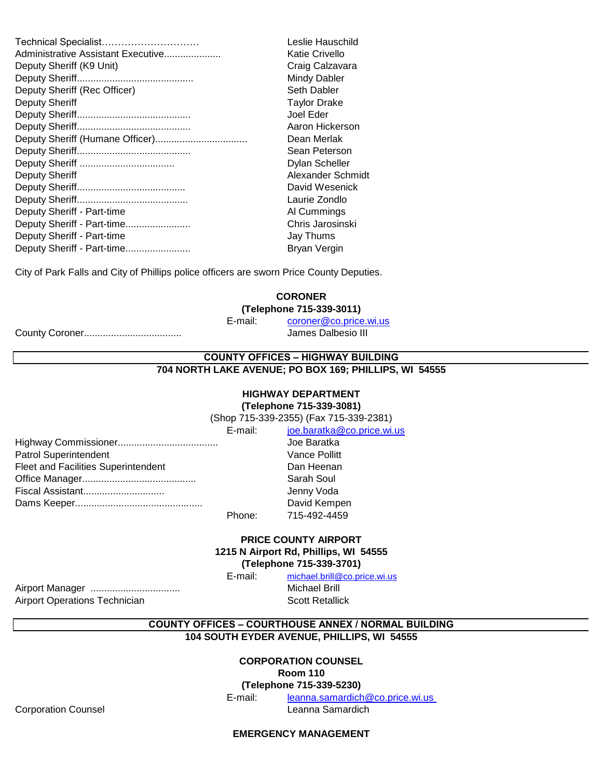| Technical Specialist               | Leslie Hauschild    |
|------------------------------------|---------------------|
| Administrative Assistant Executive | Katie Crivello      |
| Deputy Sheriff (K9 Unit)           | Craig Calzavara     |
|                                    | <b>Mindy Dabler</b> |
| Deputy Sheriff (Rec Officer)       | Seth Dabler         |
| <b>Deputy Sheriff</b>              | <b>Taylor Drake</b> |
|                                    | Joel Eder           |
|                                    | Aaron Hickerson     |
|                                    | Dean Merlak         |
|                                    | Sean Peterson       |
|                                    | Dylan Scheller      |
| <b>Deputy Sheriff</b>              | Alexander Schmidt   |
|                                    | David Wesenick      |
|                                    | Laurie Zondlo       |
| Deputy Sheriff - Part-time         | Al Cummings         |
| Deputy Sheriff - Part-time         | Chris Jarosinski    |
| Deputy Sheriff - Part-time         | Jay Thums           |
| Deputy Sheriff - Part-time         | Bryan Vergin        |
|                                    |                     |

City of Park Falls and City of Phillips police officers are sworn Price County Deputies.

#### **CORONER**

**(Telephone 715-339-3011)**

E-mail: [coroner@co.price.wi.us](mailto:coroner@co.price.wi.us)

County Coroner.................................... James Dalbesio III

### **COUNTY OFFICES – HIGHWAY BUILDING 704 NORTH LAKE AVENUE; PO BOX 169; PHILLIPS, WI 54555**

## **HIGHWAY DEPARTMENT**

**(Telephone 715-339-3081)**

E-mail: [joe.baratka@co.price.wi.us](mailto:joe.baratka@co.price.wi.us) (Shop 715-339-2355) (Fax 715-339-2381)

|                                            | E-mail. | <u><b>JUB.DaratNa@CO.priCB.W</b></u> |
|--------------------------------------------|---------|--------------------------------------|
|                                            |         | Joe Baratka                          |
| <b>Patrol Superintendent</b>               |         | <b>Vance Pollitt</b>                 |
| <b>Fleet and Facilities Superintendent</b> |         | Dan Heenan                           |
|                                            |         | Sarah Soul                           |
| Fiscal Assistant                           |         | Jenny Voda                           |
|                                            |         | David Kempen                         |
|                                            | Phone:  | 715-492-4459                         |
|                                            |         |                                      |

#### **(Telephone 715-339-3701) 1215 N Airport Rd, Phillips, WI 54555 PRICE COUNTY AIRPORT**

E-mail: [michael.brill@co.price.wi.us](mailto:michael.brill@co.price.wi.us)

Airport Manager ................................. Michael Brill Airport Operations Technician Scott Retallick

**COUNTY OFFICES – COURTHOUSE ANNEX / NORMAL BUILDING**

**104 SOUTH EYDER AVENUE, PHILLIPS, WI 54555**

## **CORPORATION COUNSEL**

**Room 110**

**(Telephone 715-339-5230)**

E-mail: [leanna.samardich@co.price.wi.us](mailto:leanna.samardich@co.price.wi.us) 

Corporation Counsel **Contract Contract Contract Contract Contract Contract Contract Contract Contract Contract Contract Contract Contract Contract Contract Contract Contract Contract Contract Contract Contract Contract Con** 

**EMERGENCY MANAGEMENT**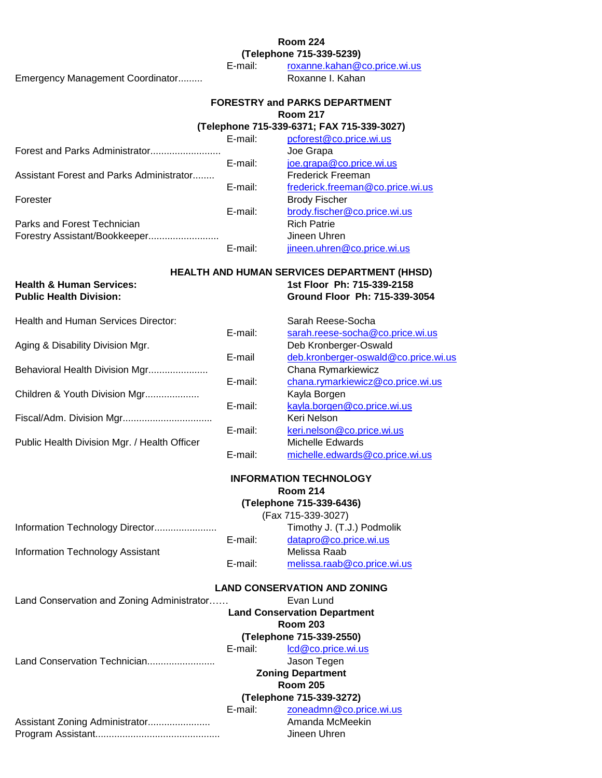### **Room 224**

**(Telephone 715-339-5239)**

Emergency Management Coordinator......... Roxanne I. Kahan

E-mail: [roxanne.kahan@co.price.wi.us](mailto:roxanne.kahan@co.price.wi.us)

## **Room 217 FORESTRY and PARKS DEPARTMENT**

**(Telephone 715-339-6371; FAX 715-339-3027)**

|                                          | E-mail: | pcforest@co.price.wi.us          |
|------------------------------------------|---------|----------------------------------|
| Forest and Parks Administrator           |         | Joe Grapa                        |
|                                          | E-mail: | joe.grapa@co.price.wi.us         |
| Assistant Forest and Parks Administrator |         | <b>Frederick Freeman</b>         |
|                                          | E-mail: | frederick.freeman@co.price.wi.us |
| Forester                                 |         | <b>Brody Fischer</b>             |
|                                          | E-mail: | brody.fischer@co.price.wi.us     |
| Parks and Forest Technician              |         | <b>Rich Patrie</b>               |
| Forestry Assistant/Bookkeeper            |         | Jineen Uhren                     |
|                                          | E-mail: | jineen.uhren@co.price.wi.us      |

#### **Health & Human Services: 1st Floor Ph: 715-339-2158 HEALTH AND HUMAN SERVICES DEPARTMENT (HHSD)**

**Public Health Division: Ground Floor Ph: 715-339-3054**

Health and Human Services Director: Sarah Reese-Socha

|                                              | E-mail: | sarah.reese-socha@co.price.wi.us     |
|----------------------------------------------|---------|--------------------------------------|
| Aging & Disability Division Mgr.             |         | Deb Kronberger-Oswald                |
|                                              | E-mail  | deb.kronberger-oswald@co.price.wi.us |
| Behavioral Health Division Mgr               |         | Chana Rymarkiewicz                   |
|                                              | E-mail: | chana.rymarkiewicz@co.price.wi.us    |
| Children & Youth Division Mgr                |         | Kayla Borgen                         |
|                                              | E-mail: | kayla.borgen@co.price.wi.us          |
| Fiscal/Adm. Division Mgr                     |         | Keri Nelson                          |
|                                              | E-mail: | keri.nelson@co.price.wi.us           |
| Public Health Division Mgr. / Health Officer |         | Michelle Edwards                     |
|                                              | E-mail: | michelle.edwards@co.price.wi.us      |

#### **Room 214 INFORMATION TECHNOLOGY**

## **(Telephone 715-339-6436)**

Information Technology Director....................... Timothy J. (T.J.) Podmolik (Fax 715-339-3027)

|                                  | E-mail: | datapro@co.price.wi.us      |
|----------------------------------|---------|-----------------------------|
| Information Technology Assistant |         | Melissa Raab                |
|                                  | E-mail: | melissa.raab@co.price.wi.us |

## **LAND CONSERVATION AND ZONING**

Land Conservation and Zoning Administrator…… **Evan Lund** 

E-mail: [lcd@co.price.wi.us](mailto:lcd@co.price.wi.us) **(Telephone 715-339-2550) Land Conservation Department Room 203**

Land Conservation Technician......................... Jason Tegen

**Zoning Department Room 205**

## **(Telephone 715-339-3272)**

| E-mail: | zoneadmn@co.price.wi.us |
|---------|-------------------------|
|         | Amanda McMeekin         |
|         | Jineen Uhren            |
|         |                         |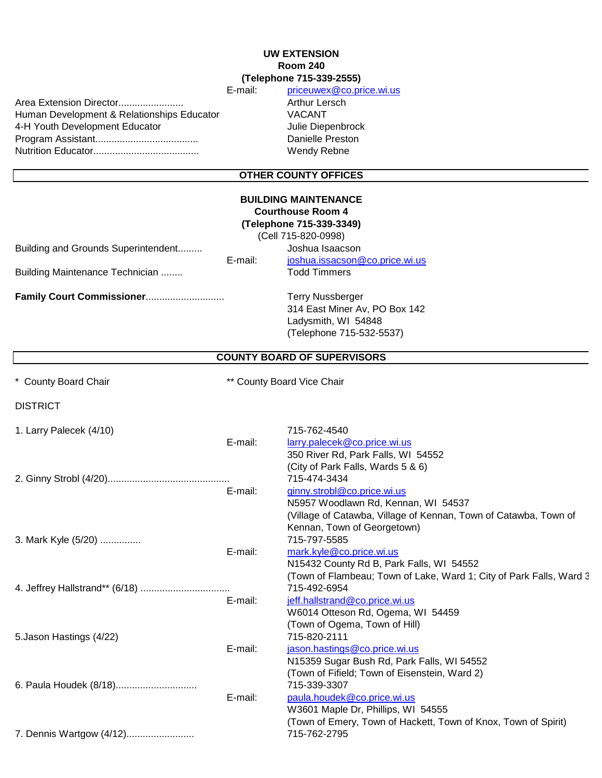#### E-mail: [priceuwex@co.price.wi.us](mailto:priceuwex@co.price.wi.us) **Room 240 UW EXTENSION (Telephone 715-339-2555)**

Human Development & Relationships Educator VACANT 4-H Youth Development Educator **Mateurs 2018** Julie Diepenbrock Program Assistant...................................... Danielle Preston Nutrition Educator....................................... Wendy Rebne Area Extension Director........................

Arthur Lersch

## **OTHER COUNTY OFFICES**

| <b>OTHER COUNTY OFFICES</b>                                            |         |                                                                                                                                                                                             |
|------------------------------------------------------------------------|---------|---------------------------------------------------------------------------------------------------------------------------------------------------------------------------------------------|
| Building and Grounds Superintendent<br>Building Maintenance Technician | E-mail: | <b>BUILDING MAINTENANCE</b><br><b>Courthouse Room 4</b><br>(Telephone 715-339-3349)<br>(Cell 715-820-0998)<br>Joshua Isaacson<br>joshua.issacson@co.price.wi.us<br><b>Todd Timmers</b>      |
| Family Court Commissioner                                              |         | <b>Terry Nussberger</b><br>314 East Miner Av, PO Box 142<br>Ladysmith, WI 54848<br>(Telephone 715-532-5537)                                                                                 |
|                                                                        |         | <b>COUNTY BOARD OF SUPERVISORS</b>                                                                                                                                                          |
| ** County Board Vice Chair<br>* County Board Chair                     |         |                                                                                                                                                                                             |
| <b>DISTRICT</b>                                                        |         |                                                                                                                                                                                             |
| 1. Larry Palecek (4/10)                                                | E-mail: | 715-762-4540<br>larry.palecek@co.price.wi.us<br>350 River Rd, Park Falls, WI 54552                                                                                                          |
|                                                                        | E-mail: | (City of Park Falls, Wards 5 & 6)<br>715-474-3434<br>ginny.strobl@co.price.wi.us<br>N5957 Woodlawn Rd, Kennan, WI 54537<br>(Village of Catawba, Village of Kennan, Town of Catawba, Town of |
| 3. Mark Kyle (5/20)                                                    | E-mail: | Kennan, Town of Georgetown)<br>715-797-5585<br>mark.kyle@co.price.wi.us<br>N15432 County Rd B, Park Falls, WI 54552                                                                         |
|                                                                        | E-mail: | (Town of Flambeau; Town of Lake, Ward 1; City of Park Falls, Ward 3<br>715-492-6954<br>jeff.hallstrand@co.price.wi.us<br>W6014 Otteson Rd, Ogema, WI 54459<br>(Town of Ogema, Town of Hill) |
| 5. Jason Hastings (4/22)                                               | E-mail: | 715-820-2111<br>jason.hastings@co.price.wi.us<br>N15359 Sugar Bush Rd, Park Falls, WI 54552<br>(Town of Fifield; Town of Eisenstein, Ward 2)                                                |
|                                                                        | E-mail: | 715-339-3307<br>paula.houdek@co.price.wi.us<br>W3601 Maple Dr, Phillips, WI 54555<br>(Town of Emery, Town of Hackett, Town of Knox, Town of Spirit)                                         |
| 7. Dennis Wartgow (4/12)                                               |         | 715-762-2795                                                                                                                                                                                |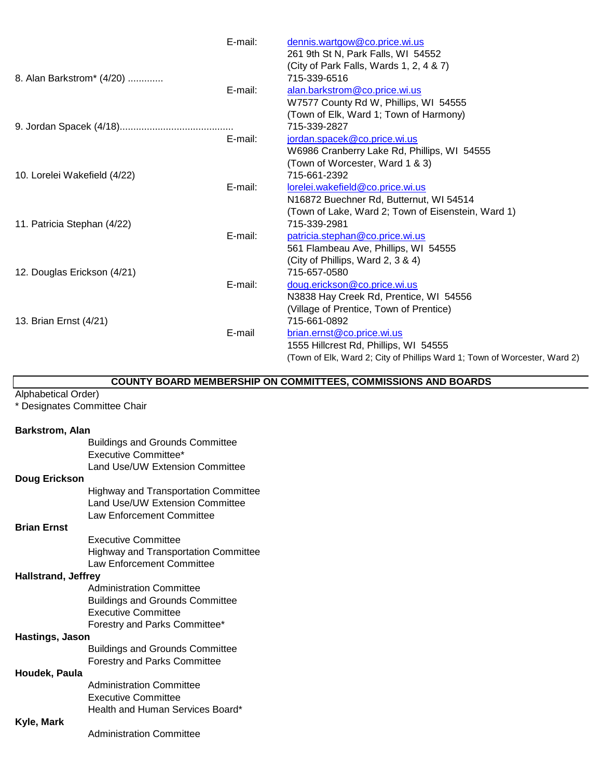|                              | E-mail: | dennis.wartgow@co.price.wi.us                                             |
|------------------------------|---------|---------------------------------------------------------------------------|
|                              |         | 261 9th St N, Park Falls, WI 54552                                        |
|                              |         | (City of Park Falls, Wards 1, 2, 4 & 7)                                   |
| 8. Alan Barkstrom* (4/20)    |         | 715-339-6516                                                              |
|                              | E-mail: | alan.barkstrom@co.price.wi.us                                             |
|                              |         | W7577 County Rd W, Phillips, WI 54555                                     |
|                              |         | (Town of Elk, Ward 1; Town of Harmony)                                    |
|                              |         | 715-339-2827                                                              |
|                              | E-mail: | jordan.spacek@co.price.wi.us                                              |
|                              |         | W6986 Cranberry Lake Rd, Phillips, WI 54555                               |
|                              |         | (Town of Worcester, Ward 1 & 3)                                           |
| 10. Lorelei Wakefield (4/22) |         | 715-661-2392                                                              |
|                              | E-mail: | lorelei.wakefield@co.price.wi.us                                          |
|                              |         | N16872 Buechner Rd, Butternut, WI 54514                                   |
|                              |         | (Town of Lake, Ward 2; Town of Eisenstein, Ward 1)                        |
| 11. Patricia Stephan (4/22)  |         | 715-339-2981                                                              |
|                              | E-mail: | patricia.stephan@co.price.wi.us                                           |
|                              |         | 561 Flambeau Ave, Phillips, WI 54555                                      |
|                              |         | (City of Phillips, Ward 2, 3 & 4)                                         |
| 12. Douglas Erickson (4/21)  |         | 715-657-0580                                                              |
|                              | E-mail: | doug.erickson@co.price.wi.us                                              |
|                              |         | N3838 Hay Creek Rd, Prentice, WI 54556                                    |
|                              |         | (Village of Prentice, Town of Prentice)                                   |
| 13. Brian Ernst (4/21)       |         | 715-661-0892                                                              |
|                              | E-mail  | brian.ernst@co.price.wi.us                                                |
|                              |         | 1555 Hillcrest Rd, Phillips, WI 54555                                     |
|                              |         | (Town of Elk, Ward 2; City of Phillips Ward 1; Town of Worcester, Ward 2) |

#### **COUNTY BOARD MEMBERSHIP ON COMMITTEES, COMMISSIONS AND BOARDS**

#### Alphabetical Order)

\* Designates Committee Chair

#### **Barkstrom, Alan**

Buildings and Grounds Committee Executive Committee\* Land Use/UW Extension Committee **Doug Erickson** Highway and Transportation Committee Land Use/UW Extension Committee Law Enforcement Committee

#### **Brian Ernst**

Executive Committee Highway and Transportation Committee Law Enforcement Committee

#### **Hallstrand, Jeffrey**

Administration Committee Buildings and Grounds Committee Executive Committee Forestry and Parks Committee\*

#### **Hastings, Jason**

Buildings and Grounds Committee Forestry and Parks Committee

#### **Houdek, Paula**

Administration Committee Executive Committee Health and Human Services Board\*

#### **Kyle, Mark**

Administration Committee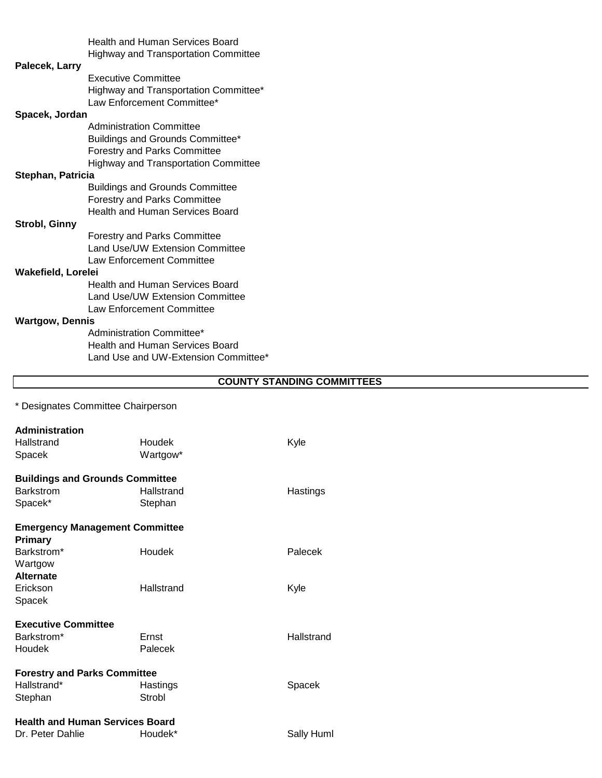|                        | <b>Health and Human Services Board</b>      |  |
|------------------------|---------------------------------------------|--|
|                        | <b>Highway and Transportation Committee</b> |  |
| Palecek, Larry         |                                             |  |
|                        | <b>Executive Committee</b>                  |  |
|                        | Highway and Transportation Committee*       |  |
|                        | Law Enforcement Committee*                  |  |
| Spacek, Jordan         |                                             |  |
|                        | <b>Administration Committee</b>             |  |
|                        | Buildings and Grounds Committee*            |  |
|                        | <b>Forestry and Parks Committee</b>         |  |
|                        | <b>Highway and Transportation Committee</b> |  |
| Stephan, Patricia      |                                             |  |
|                        | <b>Buildings and Grounds Committee</b>      |  |
|                        | <b>Forestry and Parks Committee</b>         |  |
|                        | <b>Health and Human Services Board</b>      |  |
| Strobl, Ginny          |                                             |  |
|                        | <b>Forestry and Parks Committee</b>         |  |
|                        | <b>Land Use/UW Extension Committee</b>      |  |
|                        | Law Enforcement Committee                   |  |
| Wakefield, Lorelei     |                                             |  |
|                        | Health and Human Services Board             |  |
|                        | Land Use/UW Extension Committee             |  |
|                        | Law Enforcement Committee                   |  |
| <b>Wartgow, Dennis</b> |                                             |  |
|                        | Administration Committee*                   |  |
|                        | Health and Human Services Board             |  |
|                        | Land Use and UW-Extension Committee*        |  |

## **COUNTY STANDING COMMITTEES**

\* Designates Committee Chairperson

| <b>Administration</b><br>Hallstrand    | Houdek     | Kyle       |
|----------------------------------------|------------|------------|
| Spacek                                 | Wartgow*   |            |
| <b>Buildings and Grounds Committee</b> |            |            |
| <b>Barkstrom</b>                       | Hallstrand | Hastings   |
| Spacek*                                | Stephan    |            |
| <b>Emergency Management Committee</b>  |            |            |
| <b>Primary</b>                         |            |            |
| Barkstrom*                             | Houdek     | Palecek    |
| Wartgow                                |            |            |
| <b>Alternate</b>                       |            |            |
| Erickson                               | Hallstrand | Kyle       |
| Spacek                                 |            |            |
| <b>Executive Committee</b>             |            |            |
| Barkstrom*                             | Ernst      | Hallstrand |
| Houdek                                 | Palecek    |            |
| <b>Forestry and Parks Committee</b>    |            |            |
| Hallstrand*                            | Hastings   | Spacek     |
| Stephan                                | Strobl     |            |
| <b>Health and Human Services Board</b> |            |            |
| Dr. Peter Dahlie                       | Houdek*    | Sally Huml |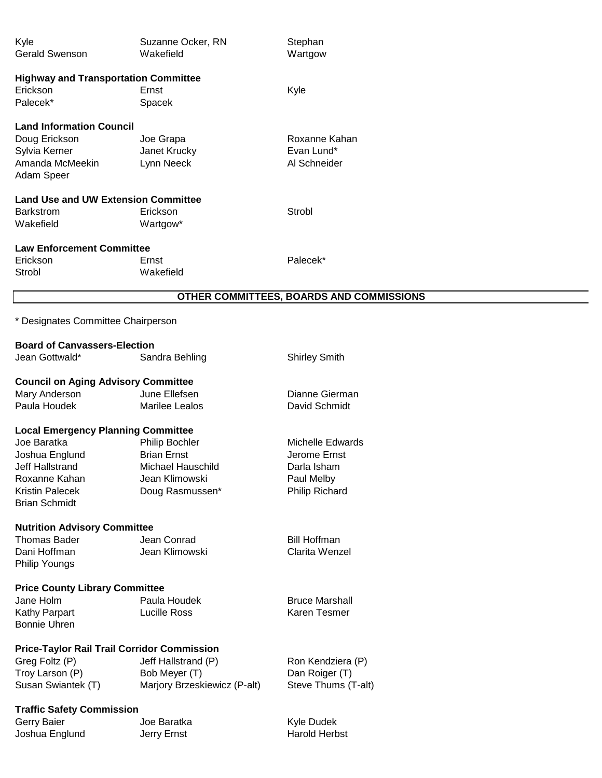| Kyle<br><b>Gerald Swenson</b>                                                                                                                                           | Suzanne Ocker, RN<br>Wakefield                                                                 | Stephan<br>Wartgow                                                              |
|-------------------------------------------------------------------------------------------------------------------------------------------------------------------------|------------------------------------------------------------------------------------------------|---------------------------------------------------------------------------------|
| <b>Highway and Transportation Committee</b><br>Erickson<br>Palecek*                                                                                                     | Ernst<br>Spacek                                                                                | Kyle                                                                            |
| <b>Land Information Council</b><br>Doug Erickson<br>Sylvia Kerner<br>Amanda McMeekin<br>Adam Speer                                                                      | Joe Grapa<br>Janet Krucky<br>Lynn Neeck                                                        | Roxanne Kahan<br>Evan Lund*<br>Al Schneider                                     |
| <b>Land Use and UW Extension Committee</b><br><b>Barkstrom</b><br>Wakefield                                                                                             | Erickson<br>Wartgow*                                                                           | Strobl                                                                          |
| <b>Law Enforcement Committee</b><br>Erickson<br>Strobl                                                                                                                  | Ernst<br>Wakefield                                                                             | Palecek*                                                                        |
|                                                                                                                                                                         |                                                                                                | OTHER COMMITTEES, BOARDS AND COMMISSIONS                                        |
| * Designates Committee Chairperson                                                                                                                                      |                                                                                                |                                                                                 |
| <b>Board of Canvassers-Election</b>                                                                                                                                     |                                                                                                |                                                                                 |
| Jean Gottwald*                                                                                                                                                          | Sandra Behling                                                                                 | <b>Shirley Smith</b>                                                            |
| <b>Council on Aging Advisory Committee</b><br>Mary Anderson<br>Paula Houdek                                                                                             | June Ellefsen<br>Marilee Lealos                                                                | Dianne Gierman<br>David Schmidt                                                 |
| <b>Local Emergency Planning Committee</b><br>Joe Baratka<br>Joshua Englund<br><b>Jeff Hallstrand</b><br>Roxanne Kahan<br><b>Kristin Palecek</b><br><b>Brian Schmidt</b> | Philip Bochler<br><b>Brian Ernst</b><br>Michael Hauschild<br>Jean Klimowski<br>Doug Rasmussen* | Michelle Edwards<br>Jerome Ernst<br>Darla Isham<br>Paul Melby<br>Philip Richard |
| <b>Nutrition Advisory Committee</b><br><b>Thomas Bader</b><br>Dani Hoffman<br>Philip Youngs                                                                             | Jean Conrad<br>Jean Klimowski                                                                  | <b>Bill Hoffman</b><br>Clarita Wenzel                                           |
| <b>Price County Library Committee</b><br>Jane Holm<br>Kathy Parpart<br><b>Bonnie Uhren</b>                                                                              | Paula Houdek<br>Lucille Ross                                                                   | <b>Bruce Marshall</b><br>Karen Tesmer                                           |
| <b>Price-Taylor Rail Trail Corridor Commission</b><br>Greg Foltz (P)<br>Troy Larson (P)<br>Susan Swiantek (T)                                                           | Jeff Hallstrand (P)<br>Bob Meyer (T)<br>Marjory Brzeskiewicz (P-alt)                           | Ron Kendziera (P)<br>Dan Roiger (T)<br>Steve Thums (T-alt)                      |
| <b>Traffic Safety Commission</b><br>Corni Poior                                                                                                                         | loo Romtko                                                                                     | Kulo Dudok                                                                      |

 $\overline{a}$ 

Gerry Baier Joe Baratka Kyle Dudek Joshua Englund **Jerry Ernst**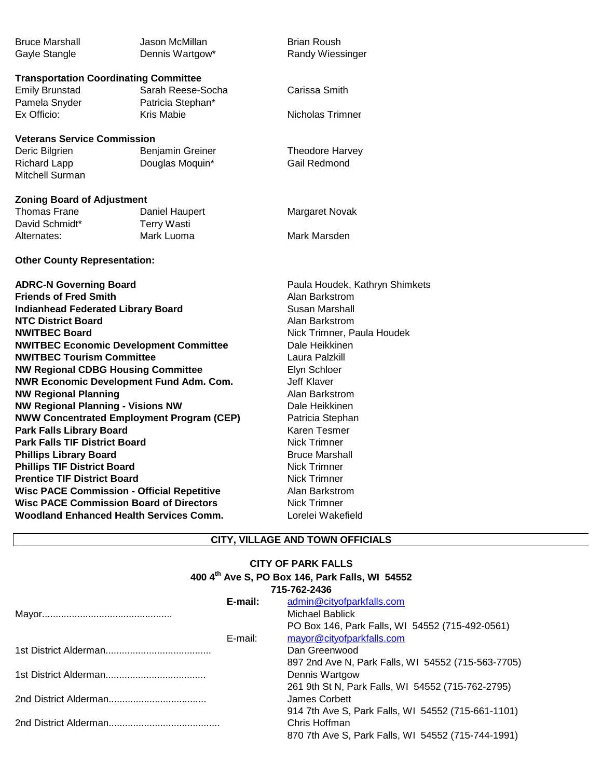| <b>Bruce Marshall</b><br>Gayle Stangle       | Jason McMillan.<br>Dennis Wartgow*     | <b>Brian Roush</b><br>Randy Wiessinger |
|----------------------------------------------|----------------------------------------|----------------------------------------|
| <b>Transportation Coordinating Committee</b> |                                        |                                        |
| Emily Brunstad<br>Pamela Snyder              | Sarah Reese-Socha<br>Patricia Stephan* | Carissa Smith                          |
| Ex Officio:                                  | Kris Mabie                             | Nicholas Trimner                       |
| <b>Veterans Service Commission</b>           |                                        |                                        |
| Deric Bilgrien                               | <b>Benjamin Greiner</b>                | Theodore Harvey                        |
| Richard Lapp                                 | Douglas Moquin*                        | Gail Redmond                           |
| Mitchell Surman                              |                                        |                                        |
| <b>Zoning Board of Adjustment</b>            |                                        |                                        |
| Thomas Frane                                 | Daniel Haupert                         | Margaret Novak                         |
| David Schmidt*                               | <b>Terry Wasti</b>                     |                                        |
| Alternates:                                  | Mark Luoma                             | Mark Marsden                           |

### **ADRC-N Governing Board Paula Houdek, Kathryn Shimkets Friends of Fred Smith** Alan Barkstrom **Indianhead Federated Library Board** Susan Marshall **NTC District Board Alan Barkstrom NWITBEC Board** Nick Trimner, Paula Houdek **NWITBEC Economic Development Committee Dale Heikkinen NWITBEC Tourism Committee Laura Palzkill NW Regional CDBG Housing Committee Figure 2018** Elyn Schloer **NWR Economic Development Fund Adm. Com.** Jeff Klaver **NW Regional Planning Alan Barkstrom NW Regional Planning - Visions NW Dale Heikkinen NWW Concentrated Employment Program (CEP)** Patricia Stephan **Park Falls Library Board Karen Tesmer** Karen Tesmer **Park Falls TIF District Board** Nick Trimner **Phillips Library Board** Bruce Marshall **Phillips TIF District Board** Nick Trimner **Prentice TIF District Board** Nick Trimner **Wisc PACE Commission - Official Repetitive Alan Barkstrom Wisc PACE Commission Board of Directors** Nick Trimner **Woodland Enhanced Health Services Comm.** Lorelei Wakefield

**Other County Representation:**

#### **CITY, VILLAGE AND TOWN OFFICIALS**

## **400 4th Ave S, PO Box 146, Park Falls, WI 54552 CITY OF PARK FALLS**

|         | 715-762-2436                                       |
|---------|----------------------------------------------------|
| E-mail: | admin@cityofparkfalls.com                          |
|         | Michael Bablick                                    |
|         | PO Box 146, Park Falls, WI 54552 (715-492-0561)    |
| E-mail: | mayor@cityofparkfalls.com                          |
|         | Dan Greenwood                                      |
|         | 897 2nd Ave N, Park Falls, WI 54552 (715-563-7705) |
|         | Dennis Wartgow                                     |
|         | 261 9th St N, Park Falls, WI 54552 (715-762-2795)  |
|         | James Corbett                                      |
|         | 914 7th Ave S, Park Falls, WI 54552 (715-661-1101) |
|         | Chris Hoffman                                      |
|         | 870 7th Ave S, Park Falls, WI 54552 (715-744-1991) |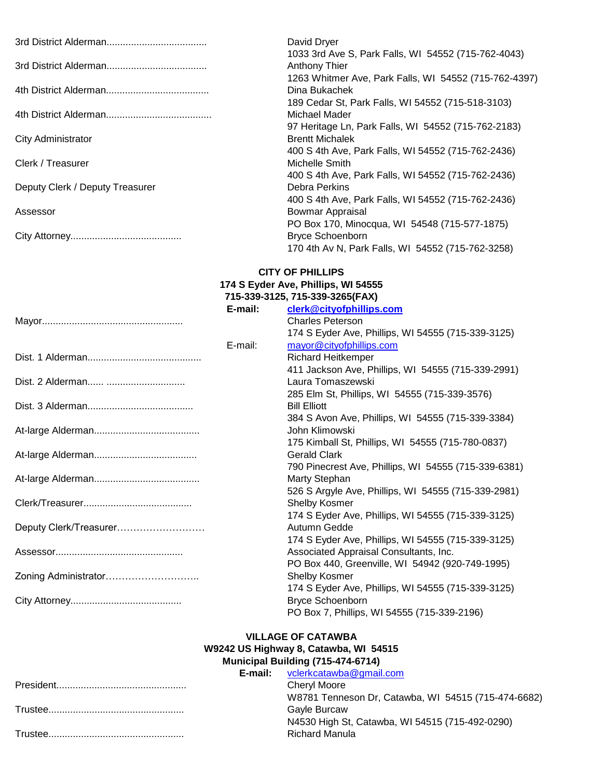|                                 | David Dryer                                           |
|---------------------------------|-------------------------------------------------------|
|                                 | 1033 3rd Ave S, Park Falls, WI 54552 (715-762-4043)   |
|                                 | Anthony Thier                                         |
|                                 | 1263 Whitmer Ave, Park Falls, WI 54552 (715-762-4397) |
|                                 | Dina Bukachek                                         |
|                                 | 189 Cedar St, Park Falls, WI 54552 (715-518-3103)     |
|                                 | Michael Mader                                         |
|                                 | 97 Heritage Ln, Park Falls, WI 54552 (715-762-2183)   |
| City Administrator              | <b>Brentt Michalek</b>                                |
|                                 | 400 S 4th Ave, Park Falls, WI 54552 (715-762-2436)    |
| Clerk / Treasurer               | Michelle Smith                                        |
|                                 | 400 S 4th Ave, Park Falls, WI 54552 (715-762-2436)    |
| Deputy Clerk / Deputy Treasurer | Debra Perkins                                         |
|                                 | 400 S 4th Ave, Park Falls, WI 54552 (715-762-2436)    |
| Assessor                        | Bowmar Appraisal                                      |
|                                 | PO Box 170, Minocqua, WI 54548 (715-577-1875)         |
|                                 | <b>Bryce Schoenborn</b>                               |
|                                 | 170 4th Av N, Park Falls, WI 54552 (715-762-3258)     |

# **CITY OF PHILLIPS**

#### **174 S Eyder Ave, Phillips, WI 54555 715-339-3125, 715-339-3265(FAX)**

|                        | E-mail: | clerk@cityofphillips.com                             |
|------------------------|---------|------------------------------------------------------|
|                        |         | <b>Charles Peterson</b>                              |
|                        |         | 174 S Eyder Ave, Phillips, WI 54555 (715-339-3125)   |
|                        | E-mail: | mayor@cityofphillips.com                             |
|                        |         | <b>Richard Heitkemper</b>                            |
|                        |         | 411 Jackson Ave, Phillips, WI 54555 (715-339-2991)   |
|                        |         | Laura Tomaszewski                                    |
|                        |         | 285 Elm St, Phillips, WI 54555 (715-339-3576)        |
|                        |         | <b>Bill Elliott</b>                                  |
|                        |         | 384 S Avon Ave, Phillips, WI 54555 (715-339-3384)    |
|                        |         | John Klimowski                                       |
|                        |         | 175 Kimball St, Phillips, WI 54555 (715-780-0837)    |
|                        |         | <b>Gerald Clark</b>                                  |
|                        |         | 790 Pinecrest Ave, Phillips, WI 54555 (715-339-6381) |
|                        |         | Marty Stephan                                        |
|                        |         | 526 S Argyle Ave, Phillips, WI 54555 (715-339-2981)  |
|                        |         | Shelby Kosmer                                        |
|                        |         | 174 S Eyder Ave, Phillips, WI 54555 (715-339-3125)   |
| Deputy Clerk/Treasurer |         | Autumn Gedde                                         |
|                        |         | 174 S Eyder Ave, Phillips, WI 54555 (715-339-3125)   |
|                        |         | Associated Appraisal Consultants, Inc.               |
|                        |         | PO Box 440, Greenville, WI 54942 (920-749-1995)      |
| Zoning Administrator   |         | Shelby Kosmer                                        |
|                        |         | 174 S Eyder Ave, Phillips, WI 54555 (715-339-3125)   |
|                        |         | <b>Bryce Schoenborn</b>                              |
|                        |         | PO Box 7, Phillips, WI 54555 (715-339-2196)          |
|                        |         |                                                      |

#### **Municipal Building (715-474-6714) VILLAGE OF CATAWBA W9242 US Highway 8, Catawba, WI 54515**

|  | <b>E-mail:</b> vclerkcatawba@gmail.com              |
|--|-----------------------------------------------------|
|  | Chervl Moore                                        |
|  | W8781 Tenneson Dr, Catawba, WI 54515 (715-474-6682) |
|  | Gavle Burcaw                                        |
|  | N4530 High St, Catawba, WI 54515 (715-492-0290)     |
|  | <b>Richard Manula</b>                               |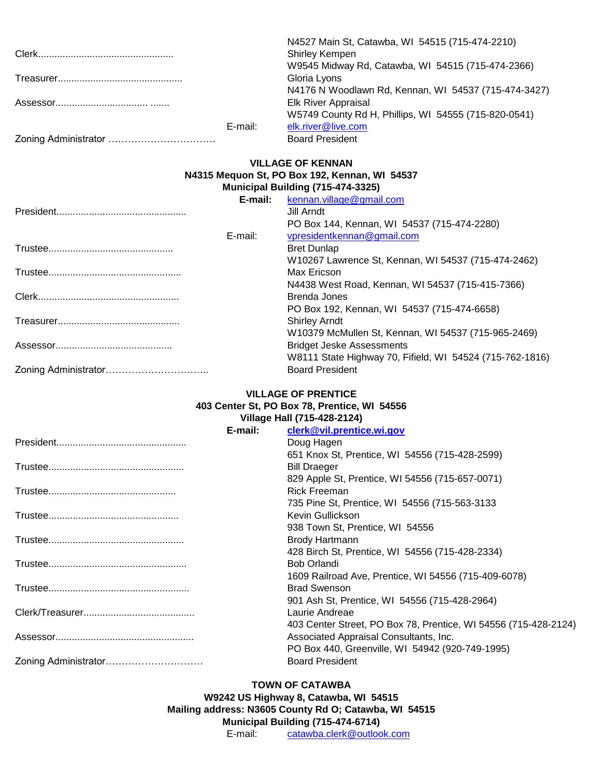|         | N4527 Main St, Catawba, WI 54515 (715-474-2210)      |
|---------|------------------------------------------------------|
|         | <b>Shirley Kempen</b>                                |
|         | W9545 Midway Rd, Catawba, WI 54515 (715-474-2366)    |
|         | Gloria Lyons                                         |
|         | N4176 N Woodlawn Rd, Kennan, WI 54537 (715-474-3427) |
|         | <b>Elk River Appraisal</b>                           |
|         | W5749 County Rd H, Phillips, WI 54555 (715-820-0541) |
| E-mail: | elk.river@live.com                                   |
|         | <b>Board President</b>                               |

## **VILLAGE OF KENNAN**

#### **N4315 Mequon St, PO Box 192, Kennan, WI 54537**

| Municipal Building (715-474-3325) |                          |
|-----------------------------------|--------------------------|
| E-mail:                           | kennan.village@gmail.com |

|         | $\frac{1}{2}$                                            |
|---------|----------------------------------------------------------|
|         | Jill Arndt                                               |
|         | PO Box 144, Kennan, WI 54537 (715-474-2280)              |
| E-mail: | vpresidentkennan@gmail.com                               |
|         | <b>Bret Dunlap</b>                                       |
|         | W10267 Lawrence St, Kennan, WI 54537 (715-474-2462)      |
|         | Max Ericson                                              |
|         | N4438 West Road, Kennan, WI 54537 (715-415-7366)         |
|         | Brenda Jones                                             |
|         | PO Box 192, Kennan, WI 54537 (715-474-6658)              |
|         | <b>Shirley Arndt</b>                                     |
|         | W10379 McMullen St, Kennan, WI 54537 (715-965-2469)      |
|         | <b>Bridget Jeske Assessments</b>                         |
|         | W8111 State Highway 70, Fifield, WI 54524 (715-762-1816) |
|         | <b>Board President</b>                                   |

#### **VILLAGE OF PRENTICE**

#### **403 Center St, PO Box 78, Prentice, WI 54556**

|         | Village Hall (715-428-2124)                                     |
|---------|-----------------------------------------------------------------|
| E-mail: | clerk@vil.prentice.wi.gov                                       |
|         | Doug Hagen                                                      |
|         | 651 Knox St, Prentice, WI 54556 (715-428-2599)                  |
|         | <b>Bill Draeger</b>                                             |
|         | 829 Apple St, Prentice, WI 54556 (715-657-0071)                 |
|         | <b>Rick Freeman</b>                                             |
|         | 735 Pine St, Prentice, WI 54556 (715-563-3133                   |
|         | Kevin Gullickson                                                |
|         | 938 Town St, Prentice, WI 54556                                 |
|         | <b>Brody Hartmann</b>                                           |
|         | 428 Birch St, Prentice, WI 54556 (715-428-2334)                 |
|         | <b>Bob Orlandi</b>                                              |
|         | 1609 Railroad Ave, Prentice, WI 54556 (715-409-6078)            |
|         | <b>Brad Swenson</b>                                             |
|         | 901 Ash St, Prentice, WI 54556 (715-428-2964)                   |
|         | Laurie Andreae                                                  |
|         | 403 Center Street, PO Box 78, Prentice, WI 54556 (715-428-2124) |
|         | Associated Appraisal Consultants, Inc.                          |
|         | PO Box 440, Greenville, WI 54942 (920-749-1995)                 |
|         | <b>Board President</b>                                          |
|         |                                                                 |

## **TOWN OF CATAWBA**

E-mail: [catawba.clerk@outlook.com](mailto:catawba.clerk@outlook.com) **Municipal Building (715-474-6714) Mailing address: N3605 County Rd O; Catawba, WI 54515 W9242 US Highway 8, Catawba, WI 54515**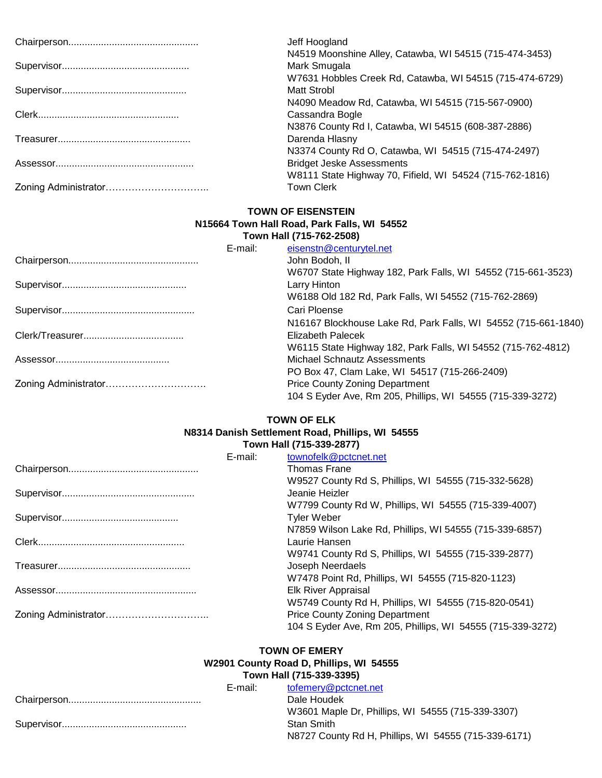| Jeff Hoogland<br>N4519 Moonshine Alley, Catawba, WI 54515 (715-474-3453) |
|--------------------------------------------------------------------------|
| Mark Smugala                                                             |
| W7631 Hobbles Creek Rd, Catawba, WI 54515 (715-474-6729)                 |
| Matt Strobl                                                              |
| N4090 Meadow Rd, Catawba, WI 54515 (715-567-0900)                        |
| Cassandra Bogle                                                          |
| N3876 County Rd I, Catawba, WI 54515 (608-387-2886)                      |
| Darenda Hlasny                                                           |
| N3374 County Rd O, Catawba, WI 54515 (715-474-2497)                      |
| <b>Bridget Jeske Assessments</b>                                         |
| W8111 State Highway 70, Fifield, WI 54524 (715-762-1816)                 |
| <b>Town Clerk</b>                                                        |

## **TOWN OF EISENSTEIN N15664 Town Hall Road, Park Falls, WI 54552**

|         | Town Hall (715-762-2508)                                       |
|---------|----------------------------------------------------------------|
| E-mail: | eisenstn@centurytel.net                                        |
|         | John Bodoh, II                                                 |
|         | W6707 State Highway 182, Park Falls, WI 54552 (715-661-3523)   |
|         | Larry Hinton                                                   |
|         | W6188 Old 182 Rd, Park Falls, WI 54552 (715-762-2869)          |
|         | Cari Ploense                                                   |
|         | N16167 Blockhouse Lake Rd, Park Falls, WI 54552 (715-661-1840) |
|         | <b>Elizabeth Palecek</b>                                       |
|         | W6115 State Highway 182, Park Falls, WI 54552 (715-762-4812)   |
|         | Michael Schnautz Assessments                                   |
|         | PO Box 47, Clam Lake, WI 54517 (715-266-2409)                  |
|         | <b>Price County Zoning Department</b>                          |
|         | 104 S Eyder Ave, Rm 205, Phillips, WI 54555 (715-339-3272)     |

## **TOWN OF ELK**

#### **Town Hall (715-339-2877) N8314 Danish Settlement Road, Phillips, WI 54555**

| E-mail: | townofelk@pctcnet.net                                      |
|---------|------------------------------------------------------------|
|         | <b>Thomas Frane</b>                                        |
|         | W9527 County Rd S, Phillips, WI 54555 (715-332-5628)       |
|         | Jeanie Heizler                                             |
|         | W7799 County Rd W, Phillips, WI 54555 (715-339-4007)       |
|         | <b>Tyler Weber</b>                                         |
|         | N7859 Wilson Lake Rd, Phillips, WI 54555 (715-339-6857)    |
|         | Laurie Hansen                                              |
|         | W9741 County Rd S, Phillips, WI 54555 (715-339-2877)       |
|         | Joseph Neerdaels                                           |
|         | W7478 Point Rd, Phillips, WI 54555 (715-820-1123)          |
|         | Elk River Appraisal                                        |
|         | W5749 County Rd H, Phillips, WI 54555 (715-820-0541)       |
|         | <b>Price County Zoning Department</b>                      |
|         | 104 S Eyder Ave, Rm 205, Phillips, WI 54555 (715-339-3272) |

## **TOWN OF EMERY**

#### **Town Hall (715-339-3395) W2901 County Road D, Phillips, WI 54555**

| E-mail: | tofemery@pctcnet.net                                 |
|---------|------------------------------------------------------|
|         | Dale Houdek                                          |
|         | W3601 Maple Dr, Phillips, WI 54555 (715-339-3307)    |
|         | <b>Stan Smith</b>                                    |
|         | N8727 County Rd H, Phillips, WI 54555 (715-339-6171) |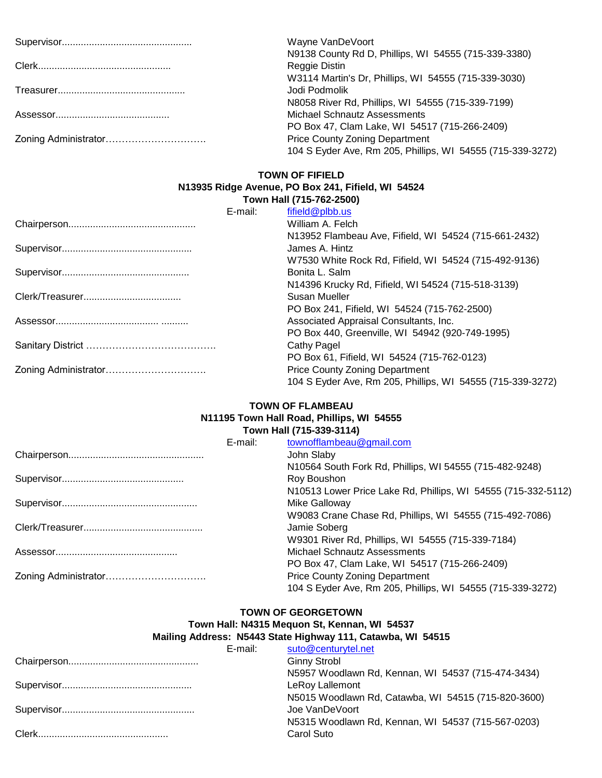| Wayne VanDeVoort                                           |
|------------------------------------------------------------|
| N9138 County Rd D, Phillips, WI 54555 (715-339-3380)       |
| Reggie Distin                                              |
| W3114 Martin's Dr, Phillips, WI 54555 (715-339-3030)       |
| Jodi Podmolik                                              |
| N8058 River Rd, Phillips, WI 54555 (715-339-7199)          |
| Michael Schnautz Assessments                               |
| PO Box 47, Clam Lake, WI 54517 (715-266-2409)              |
| <b>Price County Zoning Department</b>                      |
| 104 S Eyder Ave, Rm 205, Phillips, WI 54555 (715-339-3272) |

#### **TOWN OF FIFIELD**

#### **Town Hall (715-762-2500) N13935 Ridge Avenue, PO Box 241, Fifield, WI 54524**

|                      | E-mail: | fifield@plbb.us                                            |
|----------------------|---------|------------------------------------------------------------|
|                      |         | William A. Felch                                           |
|                      |         | N13952 Flambeau Ave, Fifield, WI 54524 (715-661-2432)      |
|                      |         | James A. Hintz                                             |
|                      |         | W7530 White Rock Rd, Fifield, WI 54524 (715-492-9136)      |
|                      |         | Bonita L. Salm                                             |
|                      |         | N14396 Krucky Rd, Fifield, WI 54524 (715-518-3139)         |
|                      |         | Susan Mueller                                              |
|                      |         | PO Box 241, Fifield, WI 54524 (715-762-2500)               |
|                      |         | Associated Appraisal Consultants, Inc.                     |
|                      |         | PO Box 440, Greenville, WI 54942 (920-749-1995)            |
|                      |         | Cathy Pagel                                                |
|                      |         | PO Box 61, Fifield, WI 54524 (715-762-0123)                |
| Zoning Administrator |         | <b>Price County Zoning Department</b>                      |
|                      |         | 104 S Eyder Ave, Rm 205, Phillips, WI 54555 (715-339-3272) |

#### **Town Hall (715-339-3114) N11195 Town Hall Road, Phillips, WI 54555 TOWN OF FLAMBEAU**

|         | 10WILLIAH (7 10-000-0114)                                     |
|---------|---------------------------------------------------------------|
| E-mail: | townofflambeau@gmail.com                                      |
|         | John Slaby                                                    |
|         | N10564 South Fork Rd, Phillips, WI 54555 (715-482-9248)       |
|         | Roy Boushon                                                   |
|         | N10513 Lower Price Lake Rd, Phillips, WI 54555 (715-332-5112) |
|         | Mike Galloway                                                 |
|         | W9083 Crane Chase Rd, Phillips, WI 54555 (715-492-7086)       |
|         | Jamie Soberg                                                  |
|         | W9301 River Rd, Phillips, WI 54555 (715-339-7184)             |
|         | <b>Michael Schnautz Assessments</b>                           |
|         | PO Box 47, Clam Lake, WI 54517 (715-266-2409)                 |
|         | <b>Price County Zoning Department</b>                         |
|         | 104 S Eyder Ave, Rm 205, Phillips, WI 54555 (715-339-3272)    |
|         |                                                               |

## **TOWN OF GEORGETOWN**

#### **Town Hall: N4315 Mequon St, Kennan, WI 54537 Mailing Address: N5443 State Highway 111, Catawba, WI 54515**

E-mail: [suto@centurytel.net](mailto:suto@centurytel.net) Chairperson................................................ Ginny Strobl N5957 Woodlawn Rd, Kennan, WI 54537 (715-474-3434) Supervisor................................................ LeRoy Lallemont N5015 Woodlawn Rd, Catawba, WI 54515 (715-820-3600) Supervisor................................................. Joe VanDeVoort N5315 Woodlawn Rd, Kennan, WI 54537 (715-567-0203) Clerk................................................ Carol Suto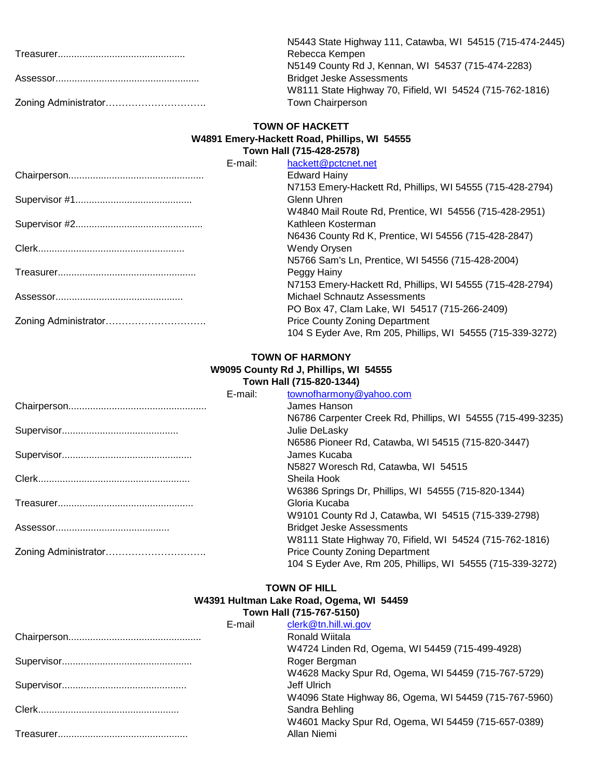| N5443 State Highway 111, Catawba, WI 54515 (715-474-2445) |
|-----------------------------------------------------------|
| Rebecca Kempen                                            |
| N5149 County Rd J, Kennan, WI 54537 (715-474-2283)        |
| <b>Bridget Jeske Assessments</b>                          |
| W8111 State Highway 70, Fifield, WI 54524 (715-762-1816)  |
| Town Chairperson                                          |

#### **TOWN OF HACKETT Town Hall (715-428-2578) W4891 Emery-Hackett Road, Phillips, WI 54555**

| E-mail: | hackett@pctcnet.net                                        |
|---------|------------------------------------------------------------|
|         | <b>Edward Hainy</b>                                        |
|         | N7153 Emery-Hackett Rd, Phillips, WI 54555 (715-428-2794)  |
|         | Glenn Uhren                                                |
|         | W4840 Mail Route Rd, Prentice, WI 54556 (715-428-2951)     |
|         | Kathleen Kosterman                                         |
|         | N6436 County Rd K, Prentice, WI 54556 (715-428-2847)       |
|         | <b>Wendy Orysen</b>                                        |
|         | N5766 Sam's Ln, Prentice, WI 54556 (715-428-2004)          |
|         | Peggy Hainy                                                |
|         | N7153 Emery-Hackett Rd, Phillips, WI 54555 (715-428-2794)  |
|         | Michael Schnautz Assessments                               |
|         | PO Box 47, Clam Lake, WI 54517 (715-266-2409)              |
|         | <b>Price County Zoning Department</b>                      |
|         | 104 S Eyder Ave, Rm 205, Phillips, WI 54555 (715-339-3272) |
|         |                                                            |

#### **W9095 County Rd J, Phillips, WI 54555 Town Hall (715-820-1344) TOWN OF HARMONY**

|         | TOWIL FIAIL (7 TO 20" TO44)                                 |
|---------|-------------------------------------------------------------|
| E-mail: | townofharmony@yahoo.com                                     |
|         | James Hanson                                                |
|         | N6786 Carpenter Creek Rd, Phillips, WI 54555 (715-499-3235) |
|         | Julie DeLasky                                               |
|         | N6586 Pioneer Rd, Catawba, WI 54515 (715-820-3447)          |
|         | James Kucaba                                                |
|         | N5827 Woresch Rd, Catawba, WI 54515                         |
|         | Sheila Hook                                                 |
|         | W6386 Springs Dr, Phillips, WI 54555 (715-820-1344)         |
|         | Gloria Kucaba                                               |
|         | W9101 County Rd J, Catawba, WI 54515 (715-339-2798)         |
|         | <b>Bridget Jeske Assessments</b>                            |
|         | W8111 State Highway 70, Fifield, WI 54524 (715-762-1816)    |
|         | <b>Price County Zoning Department</b>                       |
|         | 104 S Eyder Ave, Rm 205, Phillips, WI 54555 (715-339-3272)  |

## **TOWN OF HILL**

#### **Town Hall (715-767-5150) W4391 Hultman Lake Road, Ogema, WI 54459**

|        | <b>TUWILLIAH (1 IJ-1 UL-JIJU)</b>                      |
|--------|--------------------------------------------------------|
| E-mail | clerk@tn.hill.wi.gov                                   |
|        | Ronald Wiitala                                         |
|        | W4724 Linden Rd, Ogema, WI 54459 (715-499-4928)        |
|        | Roger Bergman                                          |
|        | W4628 Macky Spur Rd, Ogema, WI 54459 (715-767-5729)    |
|        | Jeff Ulrich                                            |
|        | W4096 State Highway 86, Ogema, WI 54459 (715-767-5960) |
|        | Sandra Behling                                         |
|        | W4601 Macky Spur Rd, Ogema, WI 54459 (715-657-0389)    |
|        | Allan Niemi                                            |
|        |                                                        |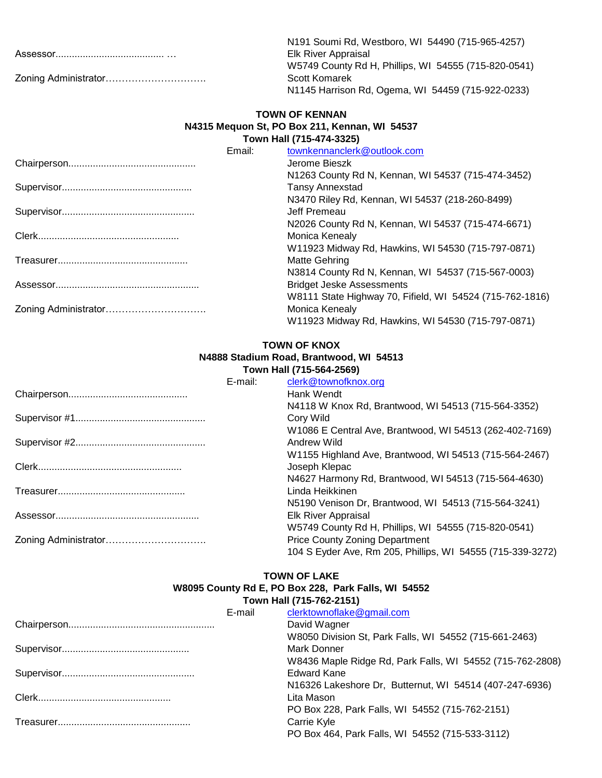| N191 Soumi Rd, Westboro, WI 54490 (715-965-4257)     |
|------------------------------------------------------|
| Elk River Appraisal                                  |
| W5749 County Rd H, Phillips, WI 54555 (715-820-0541) |
| Scott Komarek                                        |
| N1145 Harrison Rd, Ogema, WI 54459 (715-922-0233)    |

#### **Town Hall (715-474-3325) N4315 Mequon St, PO Box 211, Kennan, WI 54537 TOWN OF KENNAN**

| Email: | townkennanclerk@outlook.com                              |
|--------|----------------------------------------------------------|
|        | Jerome Bieszk                                            |
|        | N1263 County Rd N, Kennan, WI 54537 (715-474-3452)       |
|        | <b>Tansy Annexstad</b>                                   |
|        | N3470 Riley Rd, Kennan, WI 54537 (218-260-8499)          |
|        | Jeff Premeau                                             |
|        | N2026 County Rd N, Kennan, WI 54537 (715-474-6671)       |
|        | <b>Monica Kenealy</b>                                    |
|        | W11923 Midway Rd, Hawkins, WI 54530 (715-797-0871)       |
|        | Matte Gehring                                            |
|        | N3814 County Rd N, Kennan, WI 54537 (715-567-0003)       |
|        | <b>Bridget Jeske Assessments</b>                         |
|        | W8111 State Highway 70, Fifield, WI 54524 (715-762-1816) |
|        | Monica Kenealy                                           |
|        | W11923 Midway Rd, Hawkins, WI 54530 (715-797-0871)       |

## **TOWN OF KNOX**

## **N4888 Stadium Road, Brantwood, WI 54513**

|         | Town Hall (715-564-2569)                                   |
|---------|------------------------------------------------------------|
| E-mail: | clerk@townofknox.org                                       |
|         | Hank Wendt                                                 |
|         | N4118 W Knox Rd, Brantwood, WI 54513 (715-564-3352)        |
|         | Cory Wild                                                  |
|         | W1086 E Central Ave, Brantwood, WI 54513 (262-402-7169)    |
|         | Andrew Wild                                                |
|         | W1155 Highland Ave, Brantwood, WI 54513 (715-564-2467)     |
|         | Joseph Klepac                                              |
|         | N4627 Harmony Rd, Brantwood, WI 54513 (715-564-4630)       |
|         | Linda Heikkinen                                            |
|         | N5190 Venison Dr, Brantwood, WI 54513 (715-564-3241)       |
|         | Elk River Appraisal                                        |
|         | W5749 County Rd H, Phillips, WI 54555 (715-820-0541)       |
|         | <b>Price County Zoning Department</b>                      |
|         | 104 S Eyder Ave, Rm 205, Phillips, WI 54555 (715-339-3272) |
|         |                                                            |

#### **W8095 County Rd E, PO Box 228, Park Falls, WI 54552 TOWN OF LAKE Town Hall (715-762-2151)**

| E-mail | clerktownoflake@gmail.com                                 |
|--------|-----------------------------------------------------------|
|        | David Wagner                                              |
|        | W8050 Division St, Park Falls, WI 54552 (715-661-2463)    |
|        | Mark Donner                                               |
|        | W8436 Maple Ridge Rd, Park Falls, WI 54552 (715-762-2808) |
|        | <b>Edward Kane</b>                                        |
|        | N16326 Lakeshore Dr. Butternut, WI 54514 (407-247-6936)   |
|        | Lita Mason                                                |
|        | PO Box 228, Park Falls, WI 54552 (715-762-2151)           |
|        | Carrie Kyle                                               |
|        | PO Box 464, Park Falls, WI 54552 (715-533-3112)           |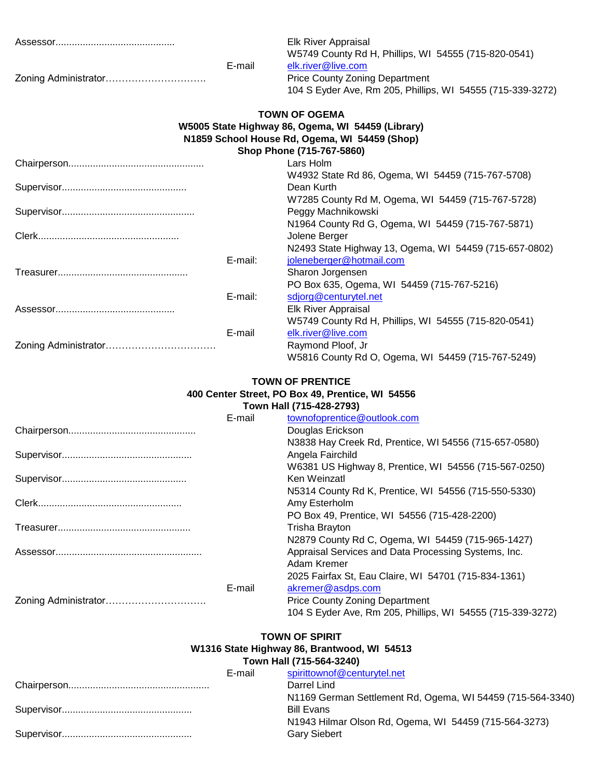| E-mail  | Elk River Appraisal<br>W5749 County Rd H, Phillips, WI 54555 (715-820-0541)<br>elk.river@live.com<br><b>Price County Zoning Department</b><br>104 S Eyder Ave, Rm 205, Phillips, WI 54555 (715-339-3272) |
|---------|----------------------------------------------------------------------------------------------------------------------------------------------------------------------------------------------------------|
|         | <b>TOWN OF OGEMA</b><br>W5005 State Highway 86, Ogema, WI 54459 (Library)<br>N1859 School House Rd, Ogema, WI 54459 (Shop)<br>Shop Phone (715-767-5860)                                                  |
|         | Lars Holm                                                                                                                                                                                                |
|         | W4932 State Rd 86, Ogema, WI 54459 (715-767-5708)<br>Dean Kurth<br>W7285 County Rd M, Ogema, WI 54459 (715-767-5728)                                                                                     |
|         | Peggy Machnikowski                                                                                                                                                                                       |
|         | N1964 County Rd G, Ogema, WI 54459 (715-767-5871)<br>Jolene Berger<br>N2493 State Highway 13, Ogema, WI 54459 (715-657-0802)                                                                             |
| E-mail: | joleneberger@hotmail.com<br>Sharon Jorgensen<br>PO Box 635, Ogema, WI 54459 (715-767-5216)                                                                                                               |
| E-mail: | sdjorg@centurytel.net<br>Elk River Appraisal<br>W5749 County Rd H, Phillips, WI 54555 (715-820-0541)                                                                                                     |
| E-mail  | elk.river@live.com<br>Raymond Ploof, Jr<br>W5816 County Rd O, Ogema, WI 54459 (715-767-5249)                                                                                                             |

## **TOWN OF PRENTICE 400 Center Street, PO Box 49, Prentice, WI 54556**

## **Town Hall (715-428-2793)**

| E-mail | townofoprentice@outlook.com                                |
|--------|------------------------------------------------------------|
|        | Douglas Erickson                                           |
|        | N3838 Hay Creek Rd, Prentice, WI 54556 (715-657-0580)      |
|        | Angela Fairchild                                           |
|        | W6381 US Highway 8, Prentice, WI 54556 (715-567-0250)      |
|        | Ken Weinzatl                                               |
|        | N5314 County Rd K, Prentice, WI 54556 (715-550-5330)       |
|        | Amy Esterholm                                              |
|        | PO Box 49, Prentice, WI 54556 (715-428-2200)               |
|        | Trisha Brayton                                             |
|        | N2879 County Rd C, Ogema, WI 54459 (715-965-1427)          |
|        | Appraisal Services and Data Processing Systems, Inc.       |
|        | Adam Kremer                                                |
|        | 2025 Fairfax St, Eau Claire, WI 54701 (715-834-1361)       |
| E-mail | akremer@asdps.com                                          |
|        | <b>Price County Zoning Department</b>                      |
|        | 104 S Eyder Ave, Rm 205, Phillips, WI 54555 (715-339-3272) |

#### **W1316 State Highway 86, Brantwood, WI 54513 TOWN OF SPIRIT**

## **Town Hall (715-564-3240)**

| E-mail | spirittownof@centurytel.net                                |
|--------|------------------------------------------------------------|
|        | Darrel Lind                                                |
|        | N1169 German Settlement Rd, Ogema, WI 54459 (715-564-3340) |
|        | <b>Bill Evans</b>                                          |
|        | N1943 Hilmar Olson Rd, Ogema, WI 54459 (715-564-3273)      |
|        | <b>Gary Siebert</b>                                        |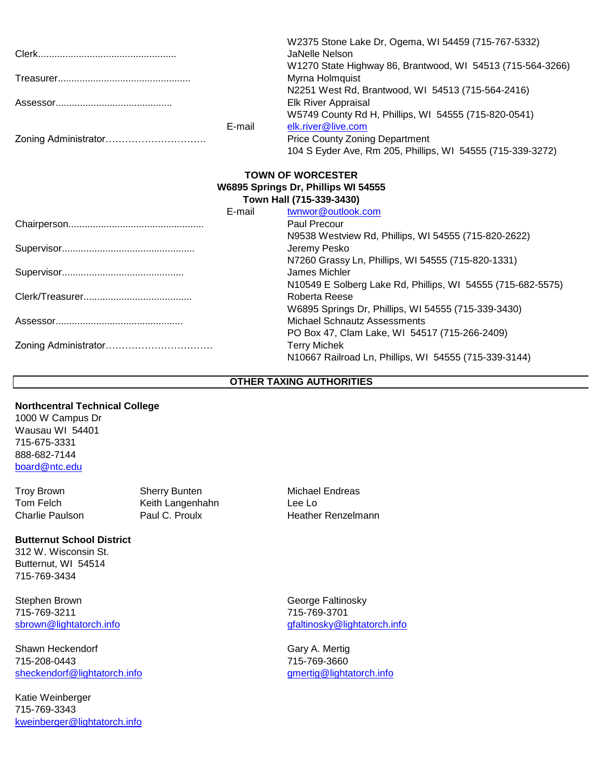|                          |        | W2375 Stone Lake Dr, Ogema, WI 54459 (715-767-5332)<br>JaNelle Nelson |  |  |
|--------------------------|--------|-----------------------------------------------------------------------|--|--|
|                          |        | W1270 State Highway 86, Brantwood, WI 54513 (715-564-3266)            |  |  |
|                          |        | Myrna Holmquist                                                       |  |  |
|                          |        | N2251 West Rd, Brantwood, WI 54513 (715-564-2416)                     |  |  |
|                          |        | Elk River Appraisal                                                   |  |  |
|                          |        | W5749 County Rd H, Phillips, WI 54555 (715-820-0541)                  |  |  |
|                          | E-mail | elk.river@live.com                                                    |  |  |
|                          |        | <b>Price County Zoning Department</b>                                 |  |  |
|                          |        | 104 S Eyder Ave, Rm 205, Phillips, WI 54555 (715-339-3272)            |  |  |
| <b>TOWN OF WORCESTER</b> |        |                                                                       |  |  |
|                          |        | W6895 Springs Dr, Phillips WI 54555                                   |  |  |
| Town Hall (715-339-3430) |        |                                                                       |  |  |
|                          | E-mail | twnwor@outlook.com                                                    |  |  |
|                          |        | Paul Precour                                                          |  |  |
|                          |        | N9538 Westview Rd, Phillips, WI 54555 (715-820-2622)                  |  |  |
|                          |        | Jeremy Pesko                                                          |  |  |
|                          |        | N7260 Grassy Ln, Phillips, WI 54555 (715-820-1331)                    |  |  |
|                          |        | James Michler                                                         |  |  |
|                          |        | N10549 E Solberg Lake Rd, Phillips, WI 54555 (715-682-5575)           |  |  |
|                          |        | Roberta Reese                                                         |  |  |
|                          |        | W6895 Springs Dr, Phillips, WI 54555 (715-339-3430)                   |  |  |
|                          |        | Michael Schnautz Assessments                                          |  |  |
|                          |        | PO Box 47, Clam Lake, WI 54517 (715-266-2409)                         |  |  |
|                          |        | <b>Terry Michek</b>                                                   |  |  |
|                          |        | N10667 Railroad Ln, Phillips, WI 54555 (715-339-3144)                 |  |  |

#### **OTHER TAXING AUTHORITIES**

## **Northcentral Technical College**

1000 W Campus Dr Wausau WI 54401 715-675-3331 888-682-7144 [board@ntc.edu](mailto:board@ntc.edu)

Troy Brown Sherry Bunten Michael Endreas Tom Felch **Keith Langenhahn** Lee Lo<br>
Charlie Paulson Paul C. Proulx **Heather** 

#### **Butternut School District**

312 W. Wisconsin St. Butternut, WI 54514 715-769-3434

Stephen Brown George Faltinosky 715-769-3211 715-769-3701

Shawn Heckendorf **Gary A. Mertig** 715-208-0443 715-769-3660 [sheckendorf@lightatorch.info](mailto:sheckendorf@lightatorch.info) [gmertig@lightatorch.info](mailto:gmertig@lightatorch.info)

Katie Weinberger 715-769-3343 [kweinberger@lightatorch.info](mailto:kweinberger@lightatorch.info) Heather Renzelmann

[sbrown@lightatorch.info](mailto:sbrown@lightatorch.info) [gfaltinosky@lightatorch.info](mailto:gfaltinosky@lightatorch.info)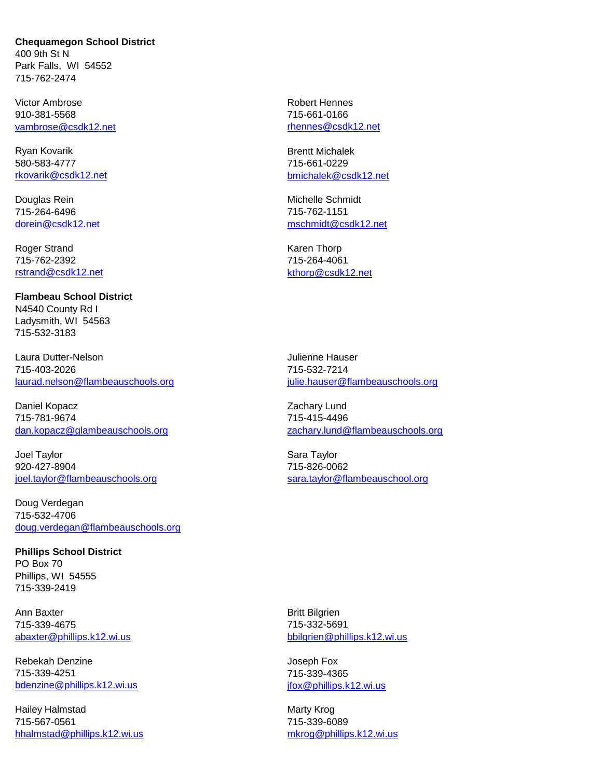**Chequamegon School District** 400 9th St N Park Falls, WI 54552 715-762-2474

Victor Ambrose **Robert Hennes** Robert Hennes 910-381-5568 715-661-0166 [vambrose@csdk12.net](mailto:vambrose@csdk12.net) [rhennes@csdk12.net](mailto:rhennes@csdk12.net)

Ryan Kovarik **Brentt Michalek** Brentt Michalek 580-583-4777 715-661-0229

715-264-6496 715-762-1151

Roger Strand Karen Thorp 715-762-2392 715-264-4061 [rstrand@csdk12.net](mailto:rstrand@csdk12.net) [kthorp@csdk12.net](mailto:kthorp@csdk12.net)

**Flambeau School District** N4540 County Rd I Ladysmith, WI 54563 715-532-3183

Laura Dutter-Nelson Julienne Hauser 715-403-2026 715-532-7214 [laurad.nelson@flambeauschools.org](mailto:laurad.nelson@flambeauschools.org) [julie.hauser@flambeauschools.org](mailto:julie.hauser@flambeauschools.org)

Daniel Kopacz **Zachary Lund** 715-781-9674 715-415-4496

Joel Taylor **Sara Taylor** Sara Taylor 920-427-8904 715-826-0062 [joel.taylor@flambeauschools.org](mailto:joel.taylor@flambeauschools.org) [sara.taylor@flambeauschool.org](mailto:sara.taylor@flambeauschool.org) sara.taylor@flambeauschool.org

Doug Verdegan 715-532-4706 [doug.verdegan@flambeauschools.org](mailto:doug.verdegan@flambeauschools.org)

**Phillips School District** PO Box 70 Phillips, WI 54555 715-339-2419

Ann Baxter **Britt Bilgrien** 715-339-4675 715-332-5691

Rebekah Denzine **Album Joseph Fox** 715-339-4251 715-339-4365 [bdenzine@phillips.k12.wi.us](mailto:bdenzine@phillips.k12.wi.us) ifox@phillips.k12.wi.us

Hailey Halmstad Marty Krog 715-567-0561 715-339-6089 [hhalmstad@phillips.k12.wi.us](mailto:hhalmstad@phillips.k12.wi.us) [mkrog@phillips.k12.wi.us](mailto:mkrog@phillips.k12.wi.us)

[rkovarik@csdk12.net](mailto:rkovarik@csdk12.net) [bmichalek@csdk12.net](mailto:bmichalek@csdk12.net)

Douglas Rein Michelle Schmidt [dorein@csdk12.net](mailto:dorein@csdk12.net) [mschmidt@csdk12.net](mailto:mschmidt@csdk12.net)

[dan.kopacz@glambeauschools.org](mailto:dan.kopacz@glambeauschools.org) [zachary.lund@flambeauschools.org](mailto:zachary.lund@flambeauschools.org)

[abaxter@phillips.k12.wi.us](mailto:abaxter@phillips.k12.wi.us) [bbilgrien@phillips.k12.wi.us](mailto:bbilgrien@phillips.k12.wi.us)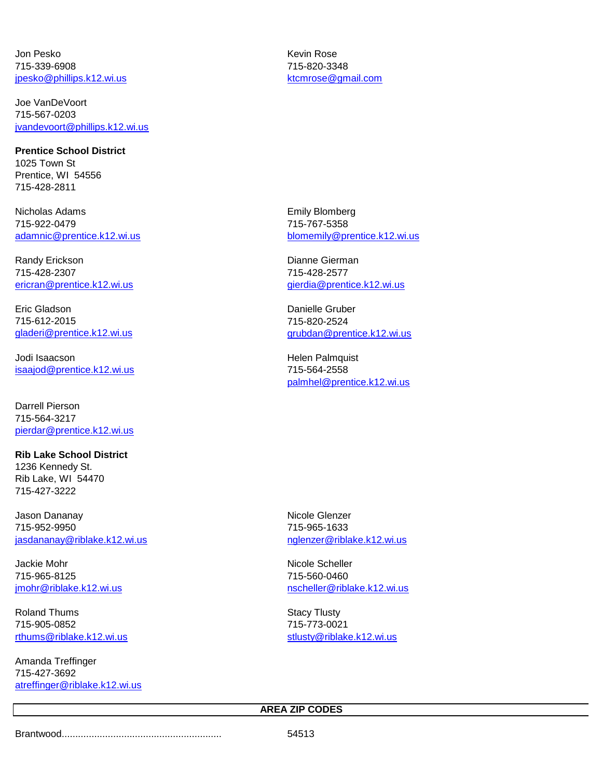Jon Pesko Kevin Rose 715-339-6908 715-820-3348 [jpesko@phillips.k12.wi.us](mailto:jpesko@phillips.k12.wi.us) [ktcmrose@gmail.com](mailto:ktcmrose@gmail.com)

Joe VanDeVoort 715-567-0203 [jvandevoort@phillips.k12.wi.us](mailto:jvandevoort@phillips.k12.wi.us)

**Prentice School District** 1025 Town St Prentice, WI 54556 715-428-2811

Nicholas Adams **Emily Blomberg** 715-922-0479 715-767-5358

Randy Erickson **Dianne Gierman** 715-428-2307 715-428-2577 [ericran@prentice.k12.wi.us](mailto:ericran@prentice.k12.wi.us) [gierdia@prentice.k12.wi.us](mailto:gierdia@prentice.k12.wi.us)

Eric Gladson Danielle Gruber 715-612-2015 715-820-2524

Jodi Isaacson Helen Palmquist [isaajod@prentice.k12.wi.us](mailto:isaajod@prentice.k12.wi.us) 715-564-2558

Darrell Pierson 715-564-3217 [pierdar@prentice.k12.wi.us](mailto:pierdar@prentice.k12.wi.us)

**Rib Lake School District** 1236 Kennedy St. Rib Lake, WI 54470 715-427-3222

Jason Dananay **Nicole Glenzer** Nicole Glenzer 715-952-9950 715-965-1633 [jasdananay@riblake.k12.wi.us](mailto:jasdananay@riblake.k12.wi.us) [nglenzer@riblake.k12.wi.us](mailto:nglenzer@riblake.k12.wi.us)

Jackie Mohr Nicole Scheller 715-965-8125 715-560-0460

Roland Thums **Stacy Tlusty** Stacy Tlusty 715-905-0852 715-773-0021 [rthums@riblake.k12.wi.us](mailto:rthums@riblake.k12.wi.us) [stlusty@riblake.k12.wi.us](mailto:stlusty@riblake.k12.wi.us)

Amanda Treffinger 715-427-3692 [atreffinger@riblake.k12.wi.us](mailto:atreffinger@riblake.k12.wi.us)

[adamnic@prentice.k12.wi.us](mailto:adamnic@prentice.k12.wi.us) [blomemily@prentice.k12.wi.us](mailto:blomemily@prentice.k12.wi.us)

[gladeri@prentice.k12.wi.us](mailto:gladeri@prentice.k12.wi.us) [grubdan@prentice.k12.wi.us](mailto:grubdan@prentice.k12.wi.us)

[palmhel@prentice.k12.wi.us](mailto:palmhel@prentice.k12.wi.us)

[jmohr@riblake.k12.wi.us](mailto:jmohr@riblake.k12.wi.us) [nscheller@riblake.k12.wi.us](mailto:nscheller@riblake.k12.wi.us)

## **AREA ZIP CODES**

Brantwood........................................................... 54513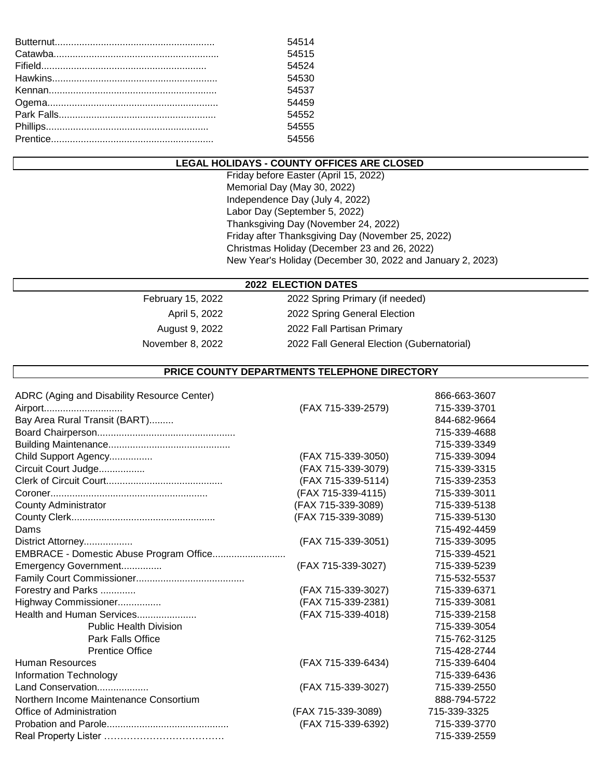| 54514 |
|-------|
| 54515 |
| 54524 |
| 54530 |
| 54537 |
| 54459 |
| 54552 |
| 54555 |
| 54556 |

## **LEGAL HOLIDAYS - COUNTY OFFICES ARE CLOSED**

Friday before Easter (April 15, 2022) Memorial Day (May 30, 2022) Independence Day (July 4, 2022) Labor Day (September 5, 2022) Thanksgiving Day (November 24, 2022) Friday after Thanksgiving Day (November 25, 2022) Christmas Holiday (December 23 and 26, 2022) New Year's Holiday (December 30, 2022 and January 2, 2023)

#### **2022 ELECTION DATES**

February 15, 2022 2022 Spring Primary (if needed) April 5, 2022 2022 Spring General Election August 9, 2022 **2022 Fall Partisan Primary** November 8, 2022 <br>
2022 Fall General Election (Gubernatorial)

#### **PRICE COUNTY DEPARTMENTS TELEPHONE DIRECTORY**

| ADRC (Aging and Disability Resource Center) |                    | 866-663-3607 |
|---------------------------------------------|--------------------|--------------|
| Airport                                     | (FAX 715-339-2579) | 715-339-3701 |
| Bay Area Rural Transit (BART)               |                    | 844-682-9664 |
|                                             |                    | 715-339-4688 |
|                                             |                    | 715-339-3349 |
| Child Support Agency                        | (FAX 715-339-3050) | 715-339-3094 |
| Circuit Court Judge                         | (FAX 715-339-3079) | 715-339-3315 |
|                                             | (FAX 715-339-5114) | 715-339-2353 |
|                                             | (FAX 715-339-4115) | 715-339-3011 |
| <b>County Administrator</b>                 | (FAX 715-339-3089) | 715-339-5138 |
|                                             | (FAX 715-339-3089) | 715-339-5130 |
| Dams                                        |                    | 715-492-4459 |
| District Attorney                           | (FAX 715-339-3051) | 715-339-3095 |
| EMBRACE - Domestic Abuse Program Office     |                    | 715-339-4521 |
| Emergency Government                        | (FAX 715-339-3027) | 715-339-5239 |
|                                             |                    | 715-532-5537 |
| Forestry and Parks                          | (FAX 715-339-3027) | 715-339-6371 |
| Highway Commissioner                        | (FAX 715-339-2381) | 715-339-3081 |
| Health and Human Services                   | (FAX 715-339-4018) | 715-339-2158 |
| <b>Public Health Division</b>               |                    | 715-339-3054 |
| <b>Park Falls Office</b>                    |                    | 715-762-3125 |
| <b>Prentice Office</b>                      |                    | 715-428-2744 |
| <b>Human Resources</b>                      | (FAX 715-339-6434) | 715-339-6404 |
| Information Technology                      |                    | 715-339-6436 |
| Land Conservation                           | (FAX 715-339-3027) | 715-339-2550 |
| Northern Income Maintenance Consortium      |                    | 888-794-5722 |
| Office of Administration                    | (FAX 715-339-3089) | 715-339-3325 |
|                                             | (FAX 715-339-6392) | 715-339-3770 |
|                                             |                    | 715-339-2559 |